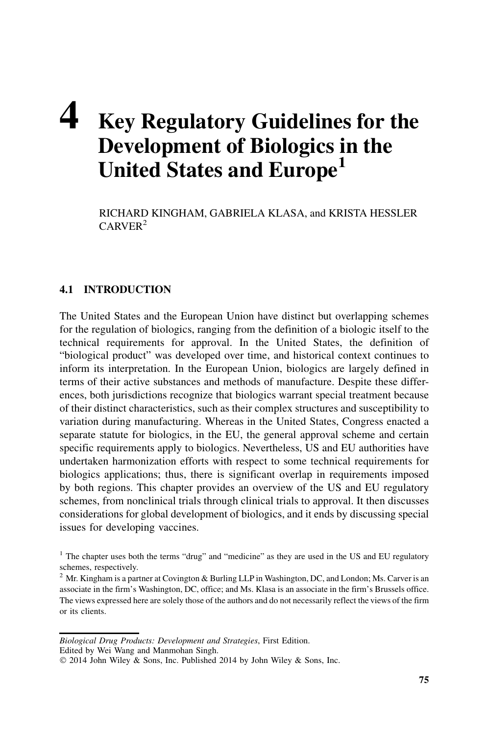# 4 Key Regulatory Guidelines for the Development of Biologics in the United States and Europe<sup>1</sup>

RICHARD KINGHAM, GABRIELA KLASA, and KRISTA HESSLER CARVER<sup>2</sup>

## 4.1 INTRODUCTION

The United States and the European Union have distinct but overlapping schemes for the regulation of biologics, ranging from the definition of a biologic itself to the technical requirements for approval. In the United States, the definition of "biological product" was developed over time, and historical context continues to inform its interpretation. In the European Union, biologics are largely defined in terms of their active substances and methods of manufacture. Despite these differences, both jurisdictions recognize that biologics warrant special treatment because of their distinct characteristics, such as their complex structures and susceptibility to variation during manufacturing. Whereas in the United States, Congress enacted a separate statute for biologics, in the EU, the general approval scheme and certain specific requirements apply to biologics. Nevertheless, US and EU authorities have undertaken harmonization efforts with respect to some technical requirements for biologics applications; thus, there is significant overlap in requirements imposed by both regions. This chapter provides an overview of the US and EU regulatory schemes, from nonclinical trials through clinical trials to approval. It then discusses considerations for global development of biologics, and it ends by discussing special issues for developing vaccines.

Biological Drug Products: Development and Strategies, First Edition. Edited by Wei Wang and Manmohan Singh.

<sup>&</sup>lt;sup>1</sup> The chapter uses both the terms "drug" and "medicine" as they are used in the US and EU regulatory schemes, respectively.

<sup>&</sup>lt;sup>2</sup> Mr. Kingham is a partner at Covington & Burling LLP in Washington, DC, and London; Ms. Carver is an associate in the firm's Washington, DC, office; and Ms. Klasa is an associate in the firm's Brussels office. The views expressed here are solely those of the authors and do not necessarily reflect the views of the firm or its clients.

2014 John Wiley & Sons, Inc. Published 2014 by John Wiley & Sons, Inc.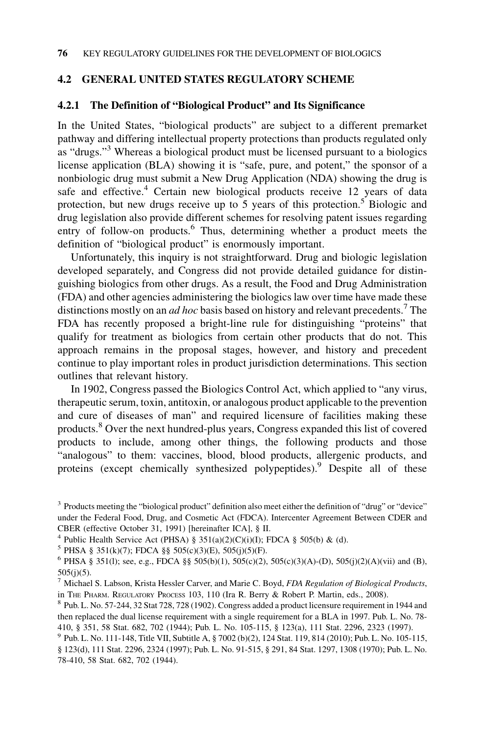## 4.2 GENERAL UNITED STATES REGULATORY SCHEME

#### 4.2.1 The Definition of "Biological Product" and Its Significance

In the United States, "biological products" are subject to a different premarket pathway and differing intellectual property protections than products regulated only as "drugs."3 Whereas a biological product must be licensed pursuant to a biologics license application (BLA) showing it is "safe, pure, and potent," the sponsor of a nonbiologic drug must submit a New Drug Application (NDA) showing the drug is safe and effective.<sup>4</sup> Certain new biological products receive 12 years of data protection, but new drugs receive up to 5 years of this protection.<sup>5</sup> Biologic and drug legislation also provide different schemes for resolving patent issues regarding entry of follow-on products. $6$  Thus, determining whether a product meets the definition of "biological product" is enormously important.

Unfortunately, this inquiry is not straightforward. Drug and biologic legislation developed separately, and Congress did not provide detailed guidance for distinguishing biologics from other drugs. As a result, the Food and Drug Administration (FDA) and other agencies administering the biologics law over time have made these distinctions mostly on an *ad hoc* basis based on history and relevant precedents.<sup>7</sup> The FDA has recently proposed a bright-line rule for distinguishing "proteins" that qualify for treatment as biologics from certain other products that do not. This approach remains in the proposal stages, however, and history and precedent continue to play important roles in product jurisdiction determinations. This section outlines that relevant history.

In 1902, Congress passed the Biologics Control Act, which applied to "any virus, therapeutic serum, toxin, antitoxin, or analogous product applicable to the prevention and cure of diseases of man" and required licensure of facilities making these products.<sup>8</sup> Over the next hundred-plus years, Congress expanded this list of covered products to include, among other things, the following products and those "analogous" to them: vaccines, blood, blood products, allergenic products, and proteins (except chemically synthesized polypeptides).<sup>9</sup> Despite all of these

<sup>3</sup> Products meeting the "biological product" definition also meet either the definition of "drug" or "device" under the Federal Food, Drug, and Cosmetic Act (FDCA). Intercenter Agreement Between CDER and CBER (effective October 31, 1991) [hereinafter ICA], § II.

<sup>&</sup>lt;sup>4</sup> Public Health Service Act (PHSA) § 351(a)(2)(C)(i)(I); FDCA § 505(b) & (d).

 $5$  PHSA § 351(k)(7); FDCA §§ 505(c)(3)(E), 505(j)(5)(F).

<sup>&</sup>lt;sup>6</sup> PHSA § 351(1); see, e.g., FDCA §§ 505(b)(1), 505(c)(2), 505(c)(3)(A)-(D), 505(j)(2)(A)(vii) and (B),  $505(j)(5)$ .

 $^7$  Michael S. Labson, Krista Hessler Carver, and Marie C. Boyd, FDA Regulation of Biological Products, in THE PHARM. REGULATORY PROCESS 103, 110 (Ira R. Berry & Robert P. Martin, eds., 2008). 8 Pub. L. No. 57-244, 32 Stat 728, 728 (1902). Congress added a product licensure requirement in 1944 and

then replaced the dual license requirement with a single requirement for a BLA in 1997. Pub. L. No. 78- 410, § 351, 58 Stat. 682, 702 (1944); Pub. L. No. 105-115, § 123(a), 111 Stat. 2296, 2323 (1997).

<sup>9</sup> Pub. L. No. 111-148, Title VII, Subtitle A, § 7002 (b)(2), 124 Stat. 119, 814 (2010); Pub. L. No. 105-115, § 123(d), 111 Stat. 2296, 2324 (1997); Pub. L. No. 91-515, § 291, 84 Stat. 1297, 1308 (1970); Pub. L. No. 78-410, 58 Stat. 682, 702 (1944).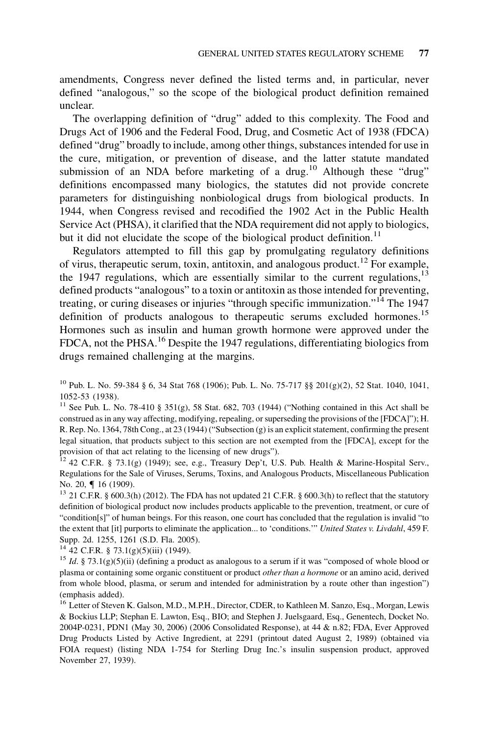amendments, Congress never defined the listed terms and, in particular, never defined "analogous," so the scope of the biological product definition remained unclear.

The overlapping definition of "drug" added to this complexity. The Food and Drugs Act of 1906 and the Federal Food, Drug, and Cosmetic Act of 1938 (FDCA) defined "drug" broadly to include, among other things, substances intended for use in the cure, mitigation, or prevention of disease, and the latter statute mandated submission of an NDA before marketing of a drug.<sup>10</sup> Although these "drug" definitions encompassed many biologics, the statutes did not provide concrete parameters for distinguishing nonbiological drugs from biological products. In 1944, when Congress revised and recodified the 1902 Act in the Public Health Service Act (PHSA), it clarified that the NDA requirement did not apply to biologics, but it did not elucidate the scope of the biological product definition.<sup>11</sup>

Regulators attempted to fill this gap by promulgating regulatory definitions of virus, therapeutic serum, toxin, antitoxin, and analogous product.<sup>12</sup> For example, the 1947 regulations, which are essentially similar to the current regulations,  $13$ defined products "analogous" to a toxin or antitoxin as those intended for preventing, treating, or curing diseases or injuries "through specific immunization."<sup>14</sup> The 1947 definition of products analogous to the rapeutic serums excluded hormones.<sup>15</sup> Hormones such as insulin and human growth hormone were approved under the FDCA, not the PHSA.<sup>16</sup> Despite the 1947 regulations, differentiating biologics from drugs remained challenging at the margins.

<sup>10</sup> Pub. L. No. 59-384 § 6, 34 Stat 768 (1906); Pub. L. No. 75-717 §§ 201(g)(2), 52 Stat. 1040, 1041, 1052-53 (1938).

<sup>11</sup> See Pub. L. No. 78-410 § 351(g), 58 Stat. 682, 703 (1944) ("Nothing contained in this Act shall be construed as in any way affecting, modifying, repealing, or superseding the provisions of the [FDCA]"); H. R. Rep. No. 1364, 78th Cong., at 23 (1944) ("Subsection (g) is an explicit statement, confirming the present legal situation, that products subject to this section are not exempted from the [FDCA], except for the provision of that act relating to the licensing of new drugs").

 $12$  42 C.F.R. § 73.1(g) (1949); see, e.g., Treasury Dep't, U.S. Pub. Health & Marine-Hospital Serv., Regulations for the Sale of Viruses, Serums, Toxins, and Analogous Products, Miscellaneous Publication No. 20,  $\P$  16 (1909).<br><sup>13</sup> 21 C.F.R. § 600.3(h) (2012). The FDA has not updated 21 C.F.R. § 600.3(h) to reflect that the statutory

definition of biological product now includes products applicable to the prevention, treatment, or cure of "condition[s]" of human beings. For this reason, one court has concluded that the regulation is invalid "to the extent that [it] purports to eliminate the application... to 'conditions.'" United States v. Livdahl, 459 F. Supp. 2d. 1255, 1261 (S.D. Fla. 2005).

<sup>14</sup> 42 C.F.R. § 73.1(g)(5)(iii) (1949).<br><sup>15</sup> Id. § 73.1(g)(5)(ii) (defining a product as analogous to a serum if it was "composed of whole blood or plasma or containing some organic constituent or product other than a hormone or an amino acid, derived from whole blood, plasma, or serum and intended for administration by a route other than ingestion") (emphasis added).

<sup>16</sup> Letter of Steven K. Galson, M.D., M.P.H., Director, CDER, to Kathleen M. Sanzo, Esq., Morgan, Lewis & Bockius LLP; Stephan E. Lawton, Esq., BIO; and Stephen J. Juelsgaard, Esq., Genentech, Docket No. 2004P-0231, PDN1 (May 30, 2006) (2006 Consolidated Response), at 44 & n.82; FDA, Ever Approved Drug Products Listed by Active Ingredient, at 2291 (printout dated August 2, 1989) (obtained via FOIA request) (listing NDA 1-754 for Sterling Drug Inc.'s insulin suspension product, approved November 27, 1939).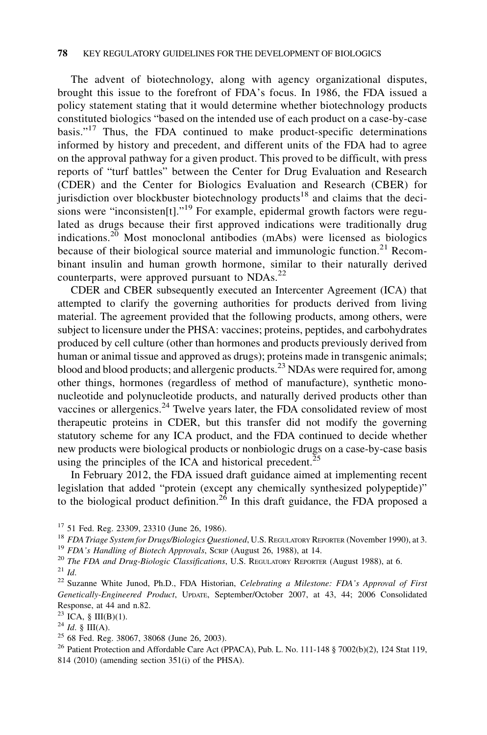The advent of biotechnology, along with agency organizational disputes, brought this issue to the forefront of FDA's focus. In 1986, the FDA issued a policy statement stating that it would determine whether biotechnology products constituted biologics "based on the intended use of each product on a case-by-case basis."<sup>17</sup> Thus, the FDA continued to make product-specific determinations informed by history and precedent, and different units of the FDA had to agree on the approval pathway for a given product. This proved to be difficult, with press reports of "turf battles" between the Center for Drug Evaluation and Research (CDER) and the Center for Biologics Evaluation and Research (CBER) for jurisdiction over blockbuster biotechnology products<sup>18</sup> and claims that the decisions were "inconsisten<sup>[t]".19</sup> For example, epidermal growth factors were regulated as drugs because their first approved indications were traditionally drug indications.<sup>20</sup> Most monoclonal antibodies (mAbs) were licensed as biologics because of their biological source material and immunologic function.<sup>21</sup> Recombinant insulin and human growth hormone, similar to their naturally derived counterparts, were approved pursuant to NDAs.<sup>22</sup>

CDER and CBER subsequently executed an Intercenter Agreement (ICA) that attempted to clarify the governing authorities for products derived from living material. The agreement provided that the following products, among others, were subject to licensure under the PHSA: vaccines; proteins, peptides, and carbohydrates produced by cell culture (other than hormones and products previously derived from human or animal tissue and approved as drugs); proteins made in transgenic animals; blood and blood products; and allergenic products.<sup>23</sup> NDAs were required for, among other things, hormones (regardless of method of manufacture), synthetic mononucleotide and polynucleotide products, and naturally derived products other than vaccines or allergenics. $24$  Twelve years later, the FDA consolidated review of most therapeutic proteins in CDER, but this transfer did not modify the governing statutory scheme for any ICA product, and the FDA continued to decide whether new products were biological products or nonbiologic drugs on a case-by-case basis using the principles of the ICA and historical precedent.<sup>25</sup>

In February 2012, the FDA issued draft guidance aimed at implementing recent legislation that added "protein (except any chemically synthesized polypeptide)" to the biological product definition.<sup>26</sup> In this draft guidance, the FDA proposed a

<sup>17</sup> 51 Fed. Reg. 23309, 23310 (June 26, 1986).<br><sup>18</sup> FDA Triage System for Drugs/Biologics Questioned, U.S. REGULATORY REPORTER (November 1990), at 3.<br><sup>19</sup> FDA's Handling of Biotech Approvals, SCRIP (August 26, 1988), at

<sup>&</sup>lt;sup>22</sup> Suzanne White Junod, Ph.D., FDA Historian, Celebrating a Milestone: FDA's Approval of First Genetically-Engineered Product, UPDATE, September/October 2007, at 43, 44; 2006 Consolidated Response, at 44 and n.82.

<sup>&</sup>lt;sup>23</sup> ICA, § III(B)(1).<br><sup>24</sup> *Id.* § III(A).<br><sup>25</sup> 68 Fed. Reg. 38067, 38068 (June 26, 2003).

<sup>&</sup>lt;sup>26</sup> Patient Protection and Affordable Care Act (PPACA), Pub. L. No. 111-148 § 7002(b)(2), 124 Stat 119, 814 (2010) (amending section 351(i) of the PHSA).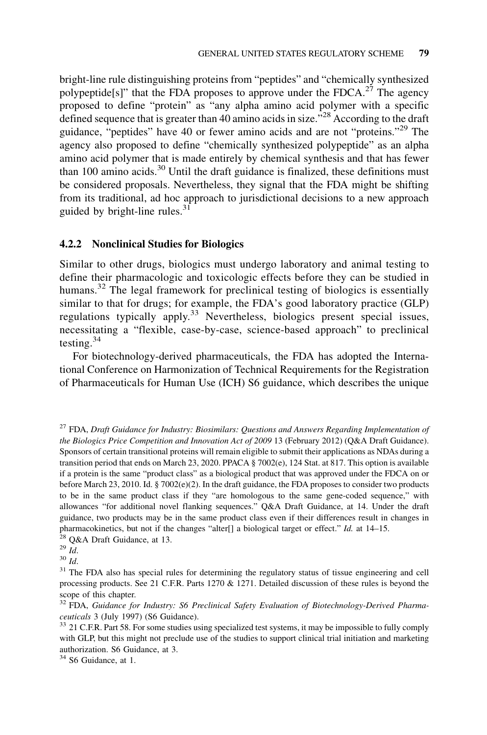bright-line rule distinguishing proteins from "peptides" and "chemically synthesized polypeptide<sup>[s]"</sup> that the FDA proposes to approve under the FDCA.<sup>27</sup> The agency proposed to define "protein" as "any alpha amino acid polymer with a specific defined sequence that is greater than 40 amino acids in size.<sup>528</sup> According to the draft guidance, "peptides" have 40 or fewer amino acids and are not "proteins."<sup>29</sup> The agency also proposed to define "chemically synthesized polypeptide" as an alpha amino acid polymer that is made entirely by chemical synthesis and that has fewer than 100 amino acids.<sup>30</sup> Until the draft guidance is finalized, these definitions must be considered proposals. Nevertheless, they signal that the FDA might be shifting from its traditional, ad hoc approach to jurisdictional decisions to a new approach guided by bright-line rules. $31$ 

#### 4.2.2 Nonclinical Studies for Biologics

Similar to other drugs, biologics must undergo laboratory and animal testing to define their pharmacologic and toxicologic effects before they can be studied in humans.<sup>32</sup> The legal framework for preclinical testing of biologics is essentially similar to that for drugs; for example, the FDA's good laboratory practice (GLP) regulations typically apply.<sup>33</sup> Nevertheless, biologics present special issues, necessitating a "flexible, case-by-case, science-based approach" to preclinical testing.<sup>34</sup>

For biotechnology-derived pharmaceuticals, the FDA has adopted the International Conference on Harmonization of Technical Requirements for the Registration of Pharmaceuticals for Human Use (ICH) S6 guidance, which describes the unique

 $27$  FDA, Draft Guidance for Industry: Biosimilars: Questions and Answers Regarding Implementation of the Biologics Price Competition and Innovation Act of 2009 13 (February 2012) (Q&A Draft Guidance). Sponsors of certain transitional proteins will remain eligible to submit their applications as NDAs during a transition period that ends on March 23, 2020. PPACA § 7002(e), 124 Stat. at 817. This option is available if a protein is the same "product class" as a biological product that was approved under the FDCA on or before March 23, 2010. Id. § 7002(e)(2). In the draft guidance, the FDA proposes to consider two products to be in the same product class if they "are homologous to the same gene-coded sequence," with allowances "for additional novel flanking sequences." Q&A Draft Guidance, at 14. Under the draft guidance, two products may be in the same product class even if their differences result in changes in pharmacokinetics, but not if the changes "alter[] a biological target or effect." Id. at 14–15. 28 Q&A Draft Guidance, at 13. 29 Id. 30 Id.

<sup>34</sup> S6 Guidance, at 1.

<sup>&</sup>lt;sup>31</sup> The FDA also has special rules for determining the regulatory status of tissue engineering and cell processing products. See 21 C.F.R. Parts 1270 & 1271. Detailed discussion of these rules is beyond the scope of this chapter.

<sup>&</sup>lt;sup>32</sup> FDA, Guidance for Industry: S6 Preclinical Safety Evaluation of Biotechnology-Derived Pharmaceuticals 3 (July 1997) (S6 Guidance).<br><sup>33</sup> 21 C.F.R. Part 58. For some studies using specialized test systems, it may be impossible to fully comply

with GLP, but this might not preclude use of the studies to support clinical trial initiation and marketing authorization. S6 Guidance, at 3.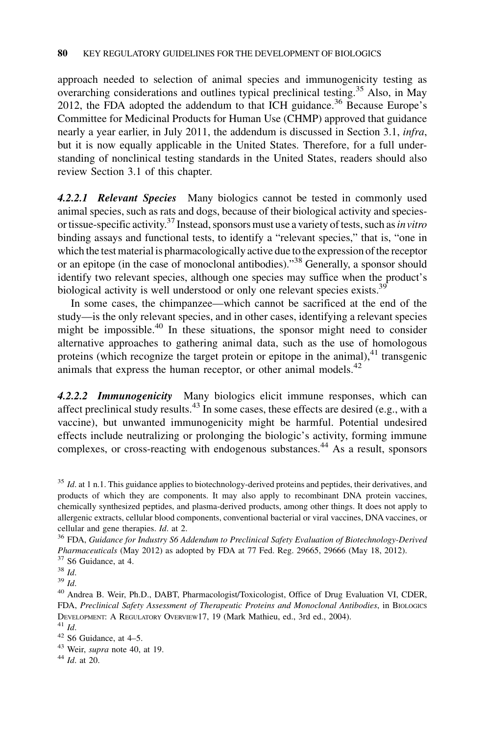approach needed to selection of animal species and immunogenicity testing as overarching considerations and outlines typical preclinical testing.<sup>35</sup> Also, in May 2012, the FDA adopted the addendum to that ICH guidance.<sup>36</sup> Because Europe's Committee for Medicinal Products for Human Use (CHMP) approved that guidance nearly a year earlier, in July 2011, the addendum is discussed in Section 3.1, infra, but it is now equally applicable in the United States. Therefore, for a full understanding of nonclinical testing standards in the United States, readers should also review Section 3.1 of this chapter.

4.2.2.1 Relevant Species Many biologics cannot be tested in commonly used animal species, such as rats and dogs, because of their biological activity and speciesor tissue-specific activity.<sup>37</sup> Instead, sponsors must use a variety of tests, such as in vitro binding assays and functional tests, to identify a "relevant species," that is, "one in which the test material is pharmacologically active due to the expression of the receptor or an epitope (in the case of monoclonal antibodies)."38 Generally, a sponsor should identify two relevant species, although one species may suffice when the product's biological activity is well understood or only one relevant species exists.<sup>39</sup>

In some cases, the chimpanzee—which cannot be sacrificed at the end of the study—is the only relevant species, and in other cases, identifying a relevant species might be impossible.<sup>40</sup> In these situations, the sponsor might need to consider alternative approaches to gathering animal data, such as the use of homologous proteins (which recognize the target protein or epitope in the animal), $^{41}$  transgenic animals that express the human receptor, or other animal models. $42$ 

4.2.2.2 Immunogenicity Many biologics elicit immune responses, which can affect preclinical study results. $43$  In some cases, these effects are desired (e.g., with a vaccine), but unwanted immunogenicity might be harmful. Potential undesired effects include neutralizing or prolonging the biologic's activity, forming immune complexes, or cross-reacting with endogenous substances.<sup>44</sup> As a result, sponsors

 $35$  Id. at 1 n.1. This guidance applies to biotechnology-derived proteins and peptides, their derivatives, and products of which they are components. It may also apply to recombinant DNA protein vaccines, chemically synthesized peptides, and plasma-derived products, among other things. It does not apply to allergenic extracts, cellular blood components, conventional bacterial or viral vaccines, DNA vaccines, or cellular and gene therapies. Id. at 2.<br><sup>36</sup> FDA, Guidance for Industry S6 Addendum to Preclinical Safety Evaluation of Biotechnology-Derived

*Pharmaceuticals* (May 2012) as adopted by FDA at 77 Fed. Reg. 29665, 29666 (May 18, 2012). <sup>37</sup> S6 Guidance, at 4.<br><sup>38</sup> Id.

 $^{39}$  Id.<br><sup>40</sup> Andrea B. Weir, Ph.D., DABT, Pharmacologist/Toxicologist, Office of Drug Evaluation VI, CDER, FDA, Preclinical Safety Assessment of Therapeutic Proteins and Monoclonal Antibodies, in BIOLOGICS DEVELOPMENT: A REGULATORY OVERVIEW17, 19 (Mark Mathieu, ed., 3rd ed., 2004).  $41$  Id.  $42$  S6 Guidance, at 4–5.

<sup>&</sup>lt;sup>43</sup> Weir, *supra* note 40, at 19.<br><sup>44</sup> *Id.* at 20.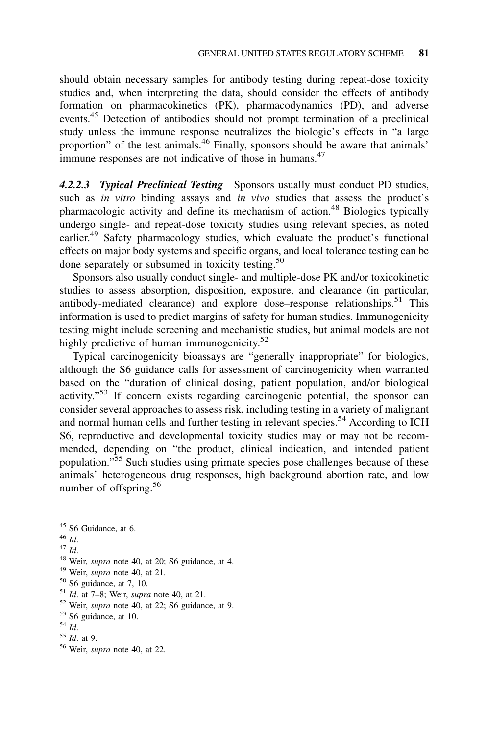should obtain necessary samples for antibody testing during repeat-dose toxicity studies and, when interpreting the data, should consider the effects of antibody formation on pharmacokinetics (PK), pharmacodynamics (PD), and adverse events.45 Detection of antibodies should not prompt termination of a preclinical study unless the immune response neutralizes the biologic's effects in "a large proportion" of the test animals.<sup>46</sup> Finally, sponsors should be aware that animals' immune responses are not indicative of those in humans.<sup>47</sup>

4.2.2.3 Typical Preclinical Testing Sponsors usually must conduct PD studies, such as *in vitro* binding assays and *in vivo* studies that assess the product's pharmacologic activity and define its mechanism of action.<sup>48</sup> Biologics typically undergo single- and repeat-dose toxicity studies using relevant species, as noted earlier.<sup>49</sup> Safety pharmacology studies, which evaluate the product's functional effects on major body systems and specific organs, and local tolerance testing can be done separately or subsumed in toxicity testing.<sup>50</sup>

Sponsors also usually conduct single- and multiple-dose PK and/or toxicokinetic studies to assess absorption, disposition, exposure, and clearance (in particular, antibody-mediated clearance) and explore dose–response relationships.<sup>51</sup> This information is used to predict margins of safety for human studies. Immunogenicity testing might include screening and mechanistic studies, but animal models are not highly predictive of human immunogenicity. $52$ 

Typical carcinogenicity bioassays are "generally inappropriate" for biologics, although the S6 guidance calls for assessment of carcinogenicity when warranted based on the "duration of clinical dosing, patient population, and/or biological activity."<sup>53</sup> If concern exists regarding carcinogenic potential, the sponsor can consider several approaches to assess risk, including testing in a variety of malignant and normal human cells and further testing in relevant species.<sup>54</sup> According to ICH S6, reproductive and developmental toxicity studies may or may not be recommended, depending on "the product, clinical indication, and intended patient population."<sup>55</sup> Such studies using primate species pose challenges because of these animals' heterogeneous drug responses, high background abortion rate, and low number of offspring.<sup>56</sup>

- 
- 45 S6 Guidance, at 6.<br>
46 Id.<br>
47 Id.<br>
48 Weir, *supra* note 40, at 20; S6 guidance, at 4.<br>
49 Weir, *supra* note 40, at 21.
- 
- 
- 
- <sup>50</sup> S6 guidance, at 7, 10.<br><sup>51</sup> Id. at 7–8; Weir, *supra* note 40, at 21.<br><sup>52</sup> Weir, *supra* note 40, at 22; S6 guidance, at 9.
- $^{53}$  S6 guidance, at 10.<br> $^{54}$  *Id.* 55 *Id.* at 9.
- 
- 
- <sup>56</sup> Weir, supra note 40, at 22.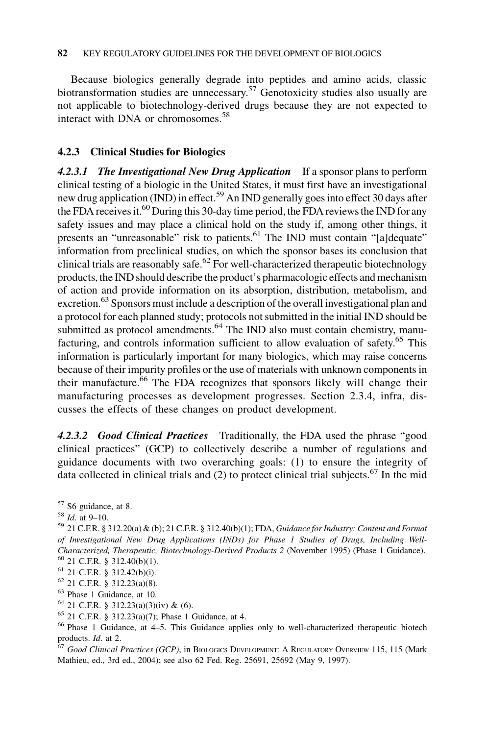Because biologics generally degrade into peptides and amino acids, classic biotransformation studies are unnecessary.<sup>57</sup> Genotoxicity studies also usually are not applicable to biotechnology-derived drugs because they are not expected to interact with DNA or chromosomes.<sup>58</sup>

#### 4.2.3 Clinical Studies for Biologics

4.2.3.1 The Investigational New Drug Application If a sponsor plans to perform clinical testing of a biologic in the United States, it must first have an investigational new drug application (IND) in effect.<sup>59</sup> An IND generally goes into effect 30 days after the FDA receives it.<sup>60</sup> During this 30-day time period, the FDA reviews the IND for any safety issues and may place a clinical hold on the study if, among other things, it presents an "unreasonable" risk to patients. $61$  The IND must contain "[a]dequate" information from preclinical studies, on which the sponsor bases its conclusion that clinical trials are reasonably safe.<sup>62</sup> For well-characterized therapeutic biotechnology products, the IND should describe the product's pharmacologic effects and mechanism of action and provide information on its absorption, distribution, metabolism, and excretion.<sup>63</sup> Sponsors must include a description of the overall investigational plan and a protocol for each planned study; protocols not submitted in the initial IND should be submitted as protocol amendments.<sup>64</sup> The IND also must contain chemistry, manufacturing, and controls information sufficient to allow evaluation of safety.<sup>65</sup> This information is particularly important for many biologics, which may raise concerns because of their impurity profiles or the use of materials with unknown components in their manufacture.<sup>66</sup> The FDA recognizes that sponsors likely will change their manufacturing processes as development progresses. Section 2.3.4, infra, discusses the effects of these changes on product development.

4.2.3.2 Good Clinical Practices Traditionally, the FDA used the phrase "good clinical practices" (GCP) to collectively describe a number of regulations and guidance documents with two overarching goals: (1) to ensure the integrity of data collected in clinical trials and  $(2)$  to protect clinical trial subjects.<sup>67</sup> In the mid

 $57$  S6 guidance, at 8.<br> $58$  *Id.* at 9–10.

62 21 C.F.R. § 312.23(a)(8).<br>
<sup>63</sup> Phase 1 Guidance, at 10.<br>
<sup>64</sup> 21 C.F.R. § 312.23(a)(3)(iv) & (6).

<sup>59</sup> 21 C.F.R. § 312.20(a) & (b); 21 C.F.R. § 312.40(b)(1); FDA, Guidance for Industry: Content and Format of Investigational New Drug Applications (INDs) for Phase 1 Studies of Drugs, Including Well-Characterized, Therapeutic, Biotechnology-Derived Products 2 (November 1995) (Phase 1 Guidance). <sup>60</sup> 21 C.F.R. § 312.42(b)(i).<br><sup>61</sup> 21 C.F.R. § 312.42(b)(i).

<sup>&</sup>lt;sup>65</sup> 21 C.F.R. § 312.23(a)(7); Phase 1 Guidance, at 4.<br><sup>66</sup> Phase 1 Guidance, at 4–5. This Guidance applies only to well-characterized therapeutic biotech products. Id. at 2.

 $67$  Good Clinical Practices (GCP), in BIOLOGICS DEVELOPMENT: A REGULATORY OVERVIEW 115, 115 (Mark Mathieu, ed., 3rd ed., 2004); see also 62 Fed. Reg. 25691, 25692 (May 9, 1997).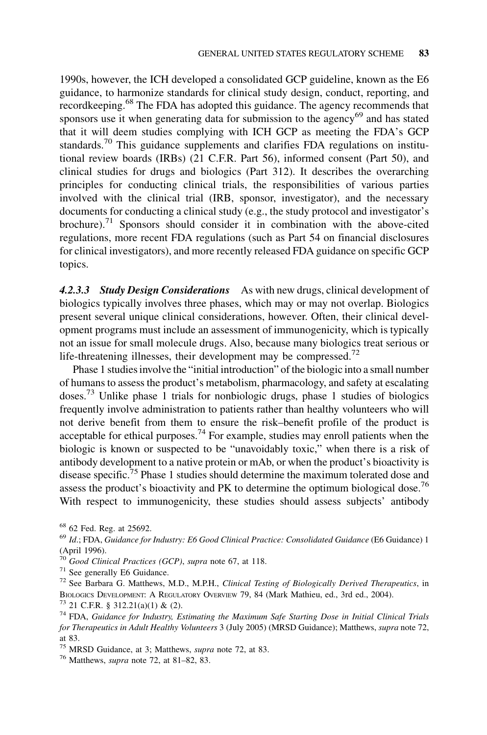1990s, however, the ICH developed a consolidated GCP guideline, known as the E6 guidance, to harmonize standards for clinical study design, conduct, reporting, and recordkeeping.<sup>68</sup> The FDA has adopted this guidance. The agency recommends that sponsors use it when generating data for submission to the agency<sup>69</sup> and has stated that it will deem studies complying with ICH GCP as meeting the FDA's GCP standards.<sup>70</sup> This guidance supplements and clarifies FDA regulations on institutional review boards (IRBs) (21 C.F.R. Part 56), informed consent (Part 50), and clinical studies for drugs and biologics (Part 312). It describes the overarching principles for conducting clinical trials, the responsibilities of various parties involved with the clinical trial (IRB, sponsor, investigator), and the necessary documents for conducting a clinical study (e.g., the study protocol and investigator's brochure).<sup>71</sup> Sponsors should consider it in combination with the above-cited regulations, more recent FDA regulations (such as Part 54 on financial disclosures for clinical investigators), and more recently released FDA guidance on specific GCP topics.

4.2.3.3 Study Design Considerations As with new drugs, clinical development of biologics typically involves three phases, which may or may not overlap. Biologics present several unique clinical considerations, however. Often, their clinical development programs must include an assessment of immunogenicity, which is typically not an issue for small molecule drugs. Also, because many biologics treat serious or life-threatening illnesses, their development may be compressed.<sup>72</sup>

Phase 1 studies involve the "initial introduction" of the biologic into a small number of humans to assess the product's metabolism, pharmacology, and safety at escalating doses.73 Unlike phase 1 trials for nonbiologic drugs, phase 1 studies of biologics frequently involve administration to patients rather than healthy volunteers who will not derive benefit from them to ensure the risk–benefit profile of the product is acceptable for ethical purposes.<sup>74</sup> For example, studies may enroll patients when the biologic is known or suspected to be "unavoidably toxic," when there is a risk of antibody development to a native protein or mAb, or when the product's bioactivity is disease specific.<sup>75</sup> Phase 1 studies should determine the maximum tolerated dose and assess the product's bioactivity and PK to determine the optimum biological dose.<sup>76</sup> With respect to immunogenicity, these studies should assess subjects' antibody

<sup>&</sup>lt;sup>68</sup> 62 Fed. Reg. at 25692.<br><sup>69</sup> Id.; FDA, *Guidance for Industry: E6 Good Clinical Practice: Consolidated Guidance* (E6 Guidance) 1 (April 1996).

<sup>&</sup>lt;sup>70</sup> Good Clinical Practices (GCP), supra note 67, at 118.<br><sup>71</sup> See generally E6 Guidance.

 $72$  See Barbara G. Matthews, M.D., M.P.H., Clinical Testing of Biologically Derived Therapeutics, in BIOLOGICS DEVELOPMENT: A REGULATORY OVERVIEW 79, 84 (Mark Mathieu, ed., 3rd ed., 2004). <sup>73</sup> 21 C.F.R. § 312.21(a)(1) & (2).

 $74$  FDA, Guidance for Industry, Estimating the Maximum Safe Starting Dose in Initial Clinical Trials for Therapeutics in Adult Healthy Volunteers 3 (July 2005) (MRSD Guidance); Matthews, supra note 72, at 83.

<sup>&</sup>lt;sup>75</sup> MRSD Guidance, at 3; Matthews, *supra* note 72, at 83. <sup>76</sup> Matthews, *supra* note 72, at 81–82, 83.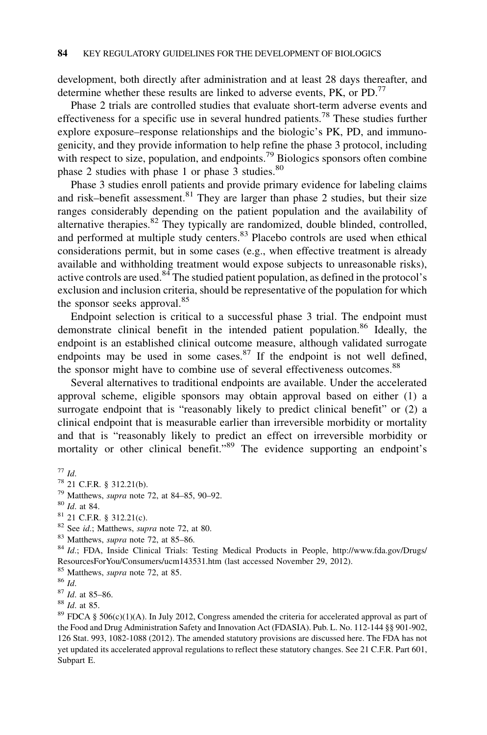development, both directly after administration and at least 28 days thereafter, and determine whether these results are linked to adverse events,  $PK$ , or  $PD$ <sup>77</sup>

Phase 2 trials are controlled studies that evaluate short-term adverse events and effectiveness for a specific use in several hundred patients.<sup>78</sup> These studies further explore exposure–response relationships and the biologic's PK, PD, and immunogenicity, and they provide information to help refine the phase 3 protocol, including with respect to size, population, and endpoints.<sup>79</sup> Biologics sponsors often combine phase 2 studies with phase 1 or phase 3 studies.<sup>80</sup>

Phase 3 studies enroll patients and provide primary evidence for labeling claims and risk–benefit assessment.<sup>81</sup> They are larger than phase 2 studies, but their size ranges considerably depending on the patient population and the availability of alternative therapies. $82$  They typically are randomized, double blinded, controlled, and performed at multiple study centers.<sup>83</sup> Placebo controls are used when ethical considerations permit, but in some cases (e.g., when effective treatment is already available and withholding treatment would expose subjects to unreasonable risks), active controls are used.<sup>84</sup> The studied patient population, as defined in the protocol's exclusion and inclusion criteria, should be representative of the population for which the sponsor seeks approval.<sup>85</sup>

Endpoint selection is critical to a successful phase 3 trial. The endpoint must demonstrate clinical benefit in the intended patient population.<sup>86</sup> Ideally, the endpoint is an established clinical outcome measure, although validated surrogate endpoints may be used in some cases.  $87$  If the endpoint is not well defined, the sponsor might have to combine use of several effectiveness outcomes.<sup>88</sup>

Several alternatives to traditional endpoints are available. Under the accelerated approval scheme, eligible sponsors may obtain approval based on either (1) a surrogate endpoint that is "reasonably likely to predict clinical benefit" or (2) a clinical endpoint that is measurable earlier than irreversible morbidity or mortality and that is "reasonably likely to predict an effect on irreversible morbidity or mortality or other clinical benefit."<sup>89</sup> The evidence supporting an endpoint's

- 
- 
- 
- 

<sup>83</sup> Matthews, *supra* note 72, at 85–86. 84 Matthews, supra note 72, at 85–86. 84  $Id$ ; FDA, Inside Clinical Trials: Testing Medical Products in People, http://www.fda.gov/Drugs/ ResourcesForYou/Consumers/ucm143531.htm (last accessed November 29, 2012).

<sup>89</sup> FDCA § 506(c)(1)(A). In July 2012, Congress amended the criteria for accelerated approval as part of the Food and Drug Administration Safety and Innovation Act (FDASIA). Pub. L. No. 112-144 §§ 901-902, 126 Stat. 993, 1082-1088 (2012). The amended statutory provisions are discussed here. The FDA has not yet updated its accelerated approval regulations to reflect these statutory changes. See 21 C.F.R. Part 601, Subpart E.

<sup>77</sup> Id. 78 21 C.F.R. § 312.21(b).<br>
79 Matthews, *supra* note 72, at 84–85, 90–92.<br>
80 Id. at 84.<br>
<sup>81</sup> 21 C.F.R. § 312.21(c).<br>
<sup>82</sup> See *id.*; Matthews, *supra* note 72, at 80.

<sup>85</sup> Matthews, *supra* note 72, at 85. 86 Id. 87 Id. at 85. 88 Id. at 85.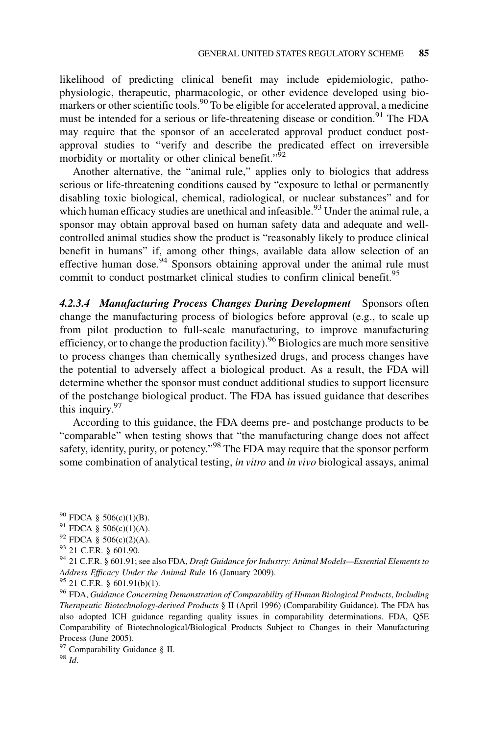likelihood of predicting clinical benefit may include epidemiologic, pathophysiologic, therapeutic, pharmacologic, or other evidence developed using biomarkers or other scientific tools.<sup>90</sup> To be eligible for accelerated approval, a medicine must be intended for a serious or life-threatening disease or condition.<sup>91</sup> The FDA may require that the sponsor of an accelerated approval product conduct postapproval studies to "verify and describe the predicated effect on irreversible morbidity or mortality or other clinical benefit."<sup>92</sup>

Another alternative, the "animal rule," applies only to biologics that address serious or life-threatening conditions caused by "exposure to lethal or permanently disabling toxic biological, chemical, radiological, or nuclear substances" and for which human efficacy studies are unethical and infeasible.<sup>93</sup> Under the animal rule, a sponsor may obtain approval based on human safety data and adequate and wellcontrolled animal studies show the product is "reasonably likely to produce clinical benefit in humans" if, among other things, available data allow selection of an effective human dose.  $94$  Sponsors obtaining approval under the animal rule must commit to conduct postmarket clinical studies to confirm clinical benefit.<sup>95</sup>

4.2.3.4 Manufacturing Process Changes During Development Sponsors often change the manufacturing process of biologics before approval (e.g., to scale up from pilot production to full-scale manufacturing, to improve manufacturing efficiency, or to change the production facility).<sup>96</sup> Biologics are much more sensitive to process changes than chemically synthesized drugs, and process changes have the potential to adversely affect a biological product. As a result, the FDA will determine whether the sponsor must conduct additional studies to support licensure of the postchange biological product. The FDA has issued guidance that describes this inquiry. $97$ 

According to this guidance, the FDA deems pre- and postchange products to be "comparable" when testing shows that "the manufacturing change does not affect safety, identity, purity, or potency."<sup>98</sup> The FDA may require that the sponsor perform some combination of analytical testing, *in vitro* and *in vivo* biological assays, animal

Therapeutic Biotechnology-derived Products § II (April 1996) (Comparability Guidance). The FDA has also adopted ICH guidance regarding quality issues in comparability determinations. FDA, Q5E Comparability of Biotechnological/Biological Products Subject to Changes in their Manufacturing Process (June 2005).

<sup>97</sup> Comparability Guidance § II.<br><sup>98</sup> Id.

<sup>&</sup>lt;sup>90</sup> FDCA § 506(c)(1)(B).<br><sup>91</sup> FDCA § 506(c)(1)(A).

<sup>&</sup>lt;sup>92</sup> FDCA § 506(c)(2)(A).<br><sup>93</sup> 21 C.F.R. § 601.90.<br><sup>94</sup> 21 C.F.R. § 601.91; see also FDA, *Draft Guidance for Industry: Animal Models—Essential Elements to* Address Efficacy Under the Animal Rule 16 (January 2009).<br><sup>95</sup> 21 C.F.R. § 601.91(b)(1).<br><sup>96</sup> FDA, Guidance Concerning Demonstration of Comparability of Human Biological Products, Including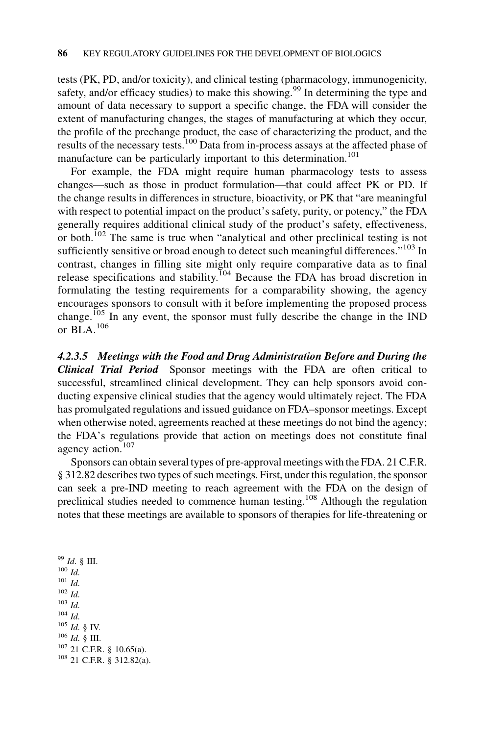tests (PK, PD, and/or toxicity), and clinical testing (pharmacology, immunogenicity, safety, and/or efficacy studies) to make this showing.<sup>99</sup> In determining the type and amount of data necessary to support a specific change, the FDA will consider the extent of manufacturing changes, the stages of manufacturing at which they occur, the profile of the prechange product, the ease of characterizing the product, and the results of the necessary tests.<sup>100</sup> Data from in-process assays at the affected phase of manufacture can be particularly important to this determination.<sup>101</sup>

For example, the FDA might require human pharmacology tests to assess changes—such as those in product formulation—that could affect PK or PD. If the change results in differences in structure, bioactivity, or PK that "are meaningful with respect to potential impact on the product's safety, purity, or potency," the FDA generally requires additional clinical study of the product's safety, effectiveness, or both.<sup>102</sup> The same is true when "analytical and other preclinical testing is not sufficiently sensitive or broad enough to detect such meaningful differences."<sup>103</sup> In contrast, changes in filling site might only require comparative data as to final release specifications and stability.<sup>104</sup> Because the FDA has broad discretion in formulating the testing requirements for a comparability showing, the agency encourages sponsors to consult with it before implementing the proposed process change.<sup>105</sup> In any event, the sponsor must fully describe the change in the IND or BLA.<sup>106</sup>

4.2.3.5 Meetings with the Food and Drug Administration Before and During the Clinical Trial Period Sponsor meetings with the FDA are often critical to successful, streamlined clinical development. They can help sponsors avoid conducting expensive clinical studies that the agency would ultimately reject. The FDA has promulgated regulations and issued guidance on FDA–sponsor meetings. Except when otherwise noted, agreements reached at these meetings do not bind the agency; the FDA's regulations provide that action on meetings does not constitute final agency action.<sup>107</sup>

Sponsors can obtain several types of pre-approval meetings with the FDA. 21 C.F.R. § 312.82 describes two types of such meetings. First, under this regulation, the sponsor can seek a pre-IND meeting to reach agreement with the FDA on the design of preclinical studies needed to commence human testing.108 Although the regulation notes that these meetings are available to sponsors of therapies for life-threatening or

 $^{99}$  *Id.* § III.<br> $^{100}$  *Id*.  $\frac{101}{102}$  *Id.*  $\frac{103}{104}$  *Id. Id.* 105 *Id.* § IV.<br><sup>106</sup> *Id.* § III.<br><sup>107</sup> 21 C.F.R. § 10.65(a). <sup>108</sup> 21 C.F.R. § 312.82(a).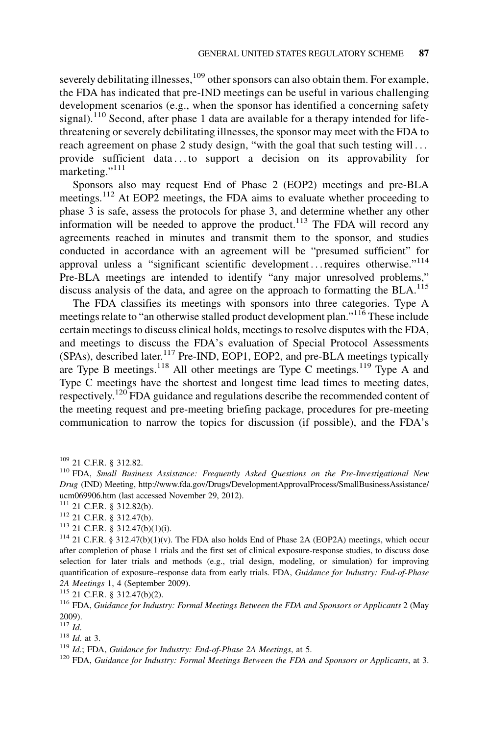severely debilitating illnesses, <sup>109</sup> other sponsors can also obtain them. For example, the FDA has indicated that pre-IND meetings can be useful in various challenging development scenarios (e.g., when the sponsor has identified a concerning safety signal).<sup>110</sup> Second, after phase 1 data are available for a therapy intended for lifethreatening or severely debilitating illnesses, the sponsor may meet with the FDA to reach agreement on phase 2 study design, "with the goal that such testing will ... provide sufficient data . . . to support a decision on its approvability for marketing."<sup>111</sup>

Sponsors also may request End of Phase 2 (EOP2) meetings and pre-BLA meetings.<sup>112</sup> At EOP2 meetings, the FDA aims to evaluate whether proceeding to phase 3 is safe, assess the protocols for phase 3, and determine whether any other information will be needed to approve the product.<sup>113</sup> The FDA will record any agreements reached in minutes and transmit them to the sponsor, and studies conducted in accordance with an agreement will be "presumed sufficient" for approval unless a "significant scientific development... requires otherwise."<sup>114</sup> Pre-BLA meetings are intended to identify "any major unresolved problems," discuss analysis of the data, and agree on the approach to formatting the BLA.<sup>115</sup>

The FDA classifies its meetings with sponsors into three categories. Type A meetings relate to "an otherwise stalled product development plan."<sup>116</sup> These include certain meetings to discuss clinical holds, meetings to resolve disputes with the FDA, and meetings to discuss the FDA's evaluation of Special Protocol Assessments  $(SPAs)$ , described later.<sup>117</sup> Pre-IND, EOP1, EOP2, and pre-BLA meetings typically are Type B meetings.<sup>118</sup> All other meetings are Type C meetings.<sup>119</sup> Type A and Type C meetings have the shortest and longest time lead times to meeting dates, respectively.<sup>120</sup> FDA guidance and regulations describe the recommended content of the meeting request and pre-meeting briefing package, procedures for pre-meeting communication to narrow the topics for discussion (if possible), and the FDA's

<sup>112</sup> 21 C.F.R. § 312.47(b).<br><sup>113</sup> 21 C.F.R. § 312.47(b)(1)(i).

<sup>114</sup> 21 C.F.R. § 312.47(b)(1)(v). The FDA also holds End of Phase 2A (EOP2A) meetings, which occur after completion of phase 1 trials and the first set of clinical exposure-response studies, to discuss dose selection for later trials and methods (e.g., trial design, modeling, or simulation) for improving quantification of exposure–response data from early trials. FDA, Guidance for Industry: End-of-Phase 2A Meetings 1, 4 (September 2009).<br><sup>115</sup> 21 C.F.R. § 312.47(b)(2).<br><sup>116</sup> FDA, *Guidance for Industry: Formal Meetings Between the FDA and Sponsors or Applicants* 2 (May

 $2009$ ).<br> $117$  *Id.* 

<sup>118</sup> Id. at 3.<br><sup>119</sup> Id.; FDA. Guidance for Industry: End-of-Phase 2A Meetings, at 5.

 $120$  FDA, Guidance for Industry: Formal Meetings Between the FDA and Sponsors or Applicants, at 3.

<sup>&</sup>lt;sup>109</sup> 21 C.F.R. § 312.82.<br><sup>110</sup> FDA, *Small Business Assistance: Frequently Asked Questions on the Pre-Investigational New* Drug (IND) Meeting, http://www.fda.gov/Drugs/DevelopmentApprovalProcess/SmallBusinessAssistance/ ucm069906.htm (last accessed November 29, 2012).<br><sup>111</sup> 21 C.F.R. § 312.82(b).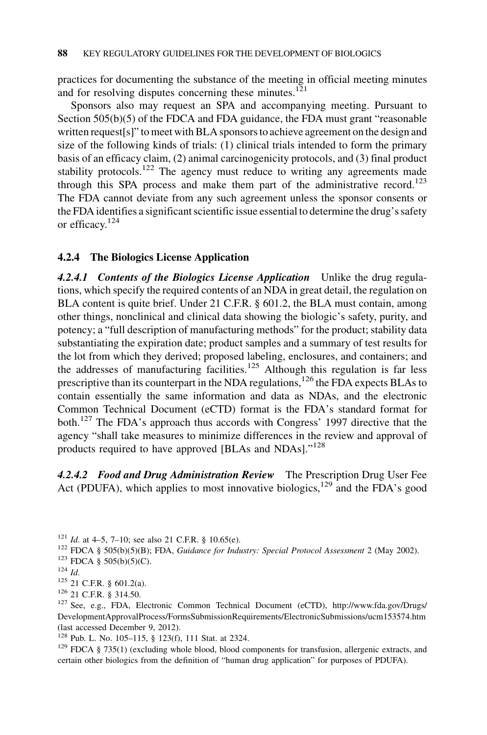practices for documenting the substance of the meeting in official meeting minutes and for resolving disputes concerning these minutes. $121$ 

Sponsors also may request an SPA and accompanying meeting. Pursuant to Section 505(b)(5) of the FDCA and FDA guidance, the FDA must grant "reasonable written request[s]" to meet with BLA sponsors to achieve agreement on the design and size of the following kinds of trials: (1) clinical trials intended to form the primary basis of an efficacy claim, (2) animal carcinogenicity protocols, and (3) final product stability protocols.<sup>122</sup> The agency must reduce to writing any agreements made through this SPA process and make them part of the administrative record.<sup>123</sup> The FDA cannot deviate from any such agreement unless the sponsor consents or the FDA identifies a significant scientific issue essential to determine the drug's safety or efficacy.<sup>124</sup>

## 4.2.4 The Biologics License Application

4.2.4.1 Contents of the Biologics License Application Unlike the drug regulations, which specify the required contents of an NDA in great detail, the regulation on BLA content is quite brief. Under 21 C.F.R. § 601.2, the BLA must contain, among other things, nonclinical and clinical data showing the biologic's safety, purity, and potency; a "full description of manufacturing methods" for the product; stability data substantiating the expiration date; product samples and a summary of test results for the lot from which they derived; proposed labeling, enclosures, and containers; and the addresses of manufacturing facilities.<sup>125</sup> Although this regulation is far less prescriptive than its counterpart in the NDA regulations,<sup>126</sup> the FDA expects BLAs to contain essentially the same information and data as NDAs, and the electronic Common Technical Document (eCTD) format is the FDA's standard format for both.<sup>127</sup> The FDA's approach thus accords with Congress' 1997 directive that the agency "shall take measures to minimize differences in the review and approval of products required to have approved [BLAs and NDAs]."<sup>128</sup>

4.2.4.2 Food and Drug Administration Review The Prescription Drug User Fee Act (PDUFA), which applies to most innovative biologics,<sup>129</sup> and the FDA's good

- <sup>121</sup> Id. at 4–5, 7–10; see also 21 C.F.R. § 10.65(e).<br><sup>122</sup> FDCA § 505(b)(5)(B); FDA, *Guidance for Industry: Special Protocol Assessment* 2 (May 2002).<br><sup>123</sup> FDCA § 505(b)(5)(C).<br><sup>124</sup> Id
- 

- 
- 

<sup>125</sup> 21 C.F.R. § 601.2(a).<br><sup>126</sup> 21 C.F.R. § 314.50.<br><sup>126</sup> See, e.g., FDA, Electronic Common Technical Document (eCTD), http://www.fda.gov/Drugs/ DevelopmentApprovalProcess/FormsSubmissionRequirements/ElectronicSubmissions/ucm153574.htm (last accessed December 9, 2012).

<sup>128</sup> Pub. L. No. 105–115, § 123(f), 111 Stat. at 2324.

 $129$  FDCA § 735(1) (excluding whole blood, blood components for transfusion, allergenic extracts, and certain other biologics from the definition of "human drug application" for purposes of PDUFA).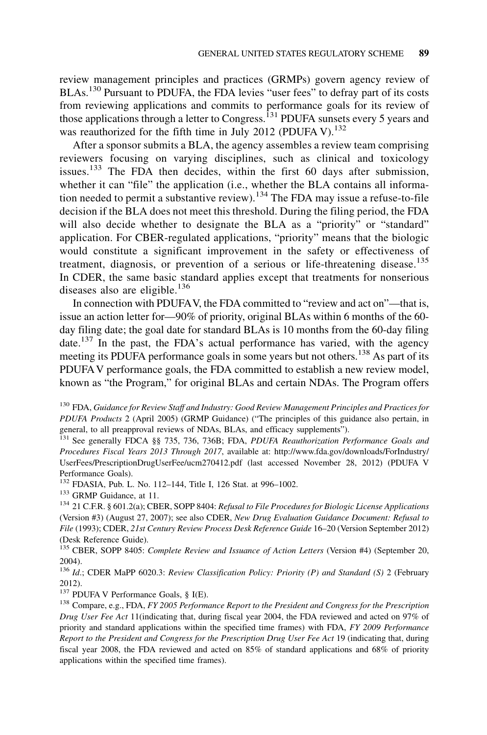review management principles and practices (GRMPs) govern agency review of BLAs.<sup>130</sup> Pursuant to PDUFA, the FDA levies "user fees" to defray part of its costs from reviewing applications and commits to performance goals for its review of those applications through a letter to Congress.<sup>131</sup> PDUFA sunsets every 5 years and was reauthorized for the fifth time in July 2012 (PDUFA V).<sup>132</sup>

After a sponsor submits a BLA, the agency assembles a review team comprising reviewers focusing on varying disciplines, such as clinical and toxicology issues.<sup>133</sup> The FDA then decides, within the first 60 days after submission, whether it can "file" the application (i.e., whether the BLA contains all information needed to permit a substantive review).<sup>134</sup> The FDA may issue a refuse-to-file decision if the BLA does not meet this threshold. During the filing period, the FDA will also decide whether to designate the BLA as a "priority" or "standard" application. For CBER-regulated applications, "priority" means that the biologic would constitute a significant improvement in the safety or effectiveness of treatment, diagnosis, or prevention of a serious or life-threatening disease.<sup>135</sup> In CDER, the same basic standard applies except that treatments for nonserious diseases also are eligible.<sup>136</sup>

In connection with PDUFAV, the FDA committed to "review and act on"—that is, issue an action letter for—90% of priority, original BLAs within 6 months of the 60 day filing date; the goal date for standard BLAs is 10 months from the 60-day filing date.<sup>137</sup> In the past, the FDA's actual performance has varied, with the agency meeting its PDUFA performance goals in some years but not others.<sup>138</sup> As part of its PDUFAV performance goals, the FDA committed to establish a new review model, known as "the Program," for original BLAs and certain NDAs. The Program offers

<sup>133</sup> GRMP Guidance, at 11.<br><sup>134</sup> 21 C.F.R. § 601.2(a); CBER, SOPP 8404: *Refusal to File Procedures for Biologic License Applications* (Version #3) (August 27, 2007); see also CDER, New Drug Evaluation Guidance Document: Refusal to File (1993); CDER, 21st Century Review Process Desk Reference Guide 16–20 (Version September 2012) (Desk Reference Guide).

<sup>135</sup> CBER, SOPP 8405: Complete Review and Issuance of Action Letters (Version #4) (September 20, 2004).

136 Id.; CDER MaPP 6020.3: Review Classification Policy: Priority (P) and Standard (S) 2 (February 2012).<br><sup>137</sup> PDUFA V Performance Goals, § I(E).

 $^{138}$  Compare, e.g., FDA, FY 2005 Performance Report to the President and Congress for the Prescription Drug User Fee Act 11(indicating that, during fiscal year 2004, the FDA reviewed and acted on 97% of priority and standard applications within the specified time frames) with FDA, FY 2009 Performance Report to the President and Congress for the Prescription Drug User Fee Act 19 (indicating that, during fiscal year 2008, the FDA reviewed and acted on 85% of standard applications and 68% of priority applications within the specified time frames).

 $^{130}$  FDA, Guidance for Review Staff and Industry: Good Review Management Principles and Practices for PDUFA Products 2 (April 2005) (GRMP Guidance) ("The principles of this guidance also pertain, in general, to all preapproval reviews of NDAs, BLAs, and efficacy supplements").

<sup>&</sup>lt;sup>131</sup> See generally FDCA §§ 735, 736, 736B; FDA, *PDUFA Reauthorization Performance Goals and* Procedures Fiscal Years 2013 Through 2017, available at: http://www.fda.gov/downloads/ForIndustry/ UserFees/PrescriptionDrugUserFee/ucm270412.pdf (last accessed November 28, 2012) (PDUFA V Performance Goals).<br><sup>132</sup> FDASIA, Pub. L. No. 112–144, Title I, 126 Stat. at 996–1002.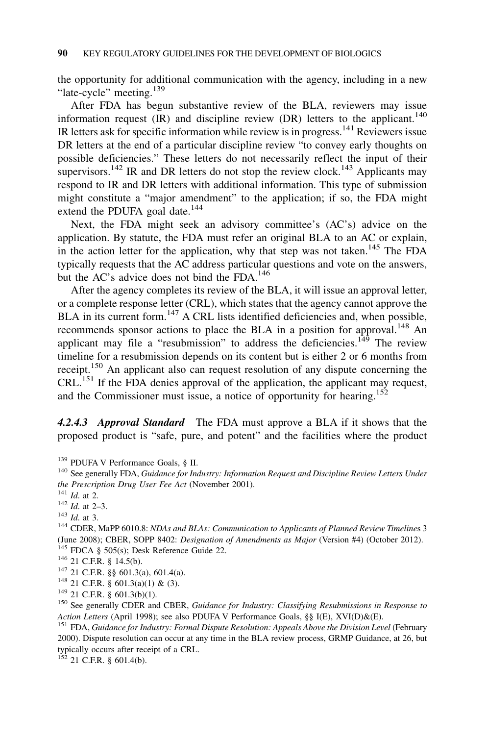the opportunity for additional communication with the agency, including in a new "late-cycle" meeting.<sup>139</sup>

After FDA has begun substantive review of the BLA, reviewers may issue information request  $(IR)$  and discipline review  $(DR)$  letters to the applicant.<sup>140</sup> IR letters ask for specific information while review is in progress.<sup>141</sup> Reviewers issue DR letters at the end of a particular discipline review "to convey early thoughts on possible deficiencies." These letters do not necessarily reflect the input of their supervisors.<sup>142</sup> IR and DR letters do not stop the review clock.<sup>143</sup> Applicants may respond to IR and DR letters with additional information. This type of submission might constitute a "major amendment" to the application; if so, the FDA might extend the PDUFA goal date.<sup>144</sup>

Next, the FDA might seek an advisory committee's (AC's) advice on the application. By statute, the FDA must refer an original BLA to an AC or explain, in the action letter for the application, why that step was not taken.<sup>145</sup> The FDA typically requests that the AC address particular questions and vote on the answers, but the AC's advice does not bind the FDA.<sup>146</sup>

After the agency completes its review of the BLA, it will issue an approval letter, or a complete response letter (CRL), which states that the agency cannot approve the BLA in its current form.<sup>147</sup> A CRL lists identified deficiencies and, when possible, recommends sponsor actions to place the BLA in a position for approval.<sup>148</sup> An applicant may file a "resubmission" to address the deficiencies.<sup>149</sup> The review timeline for a resubmission depends on its content but is either 2 or 6 months from receipt.<sup>150</sup> An applicant also can request resolution of any dispute concerning the CRL.<sup>151</sup> If the FDA denies approval of the application, the applicant may request, and the Commissioner must issue, a notice of opportunity for hearing.<sup>152</sup>

4.2.4.3 Approval Standard The FDA must approve a BLA if it shows that the proposed product is "safe, pure, and potent" and the facilities where the product

<sup>139</sup> PDUFA V Performance Goals, § II.<br><sup>140</sup> See generally FDA, *Guidance for Industry: Information Request and Discipline Review Letters Under* the Prescription Drug User Fee Act (November 2001).<br><sup>141</sup> Id. at 2.<br><sup>142</sup> Id. at 2–3.<br><sup>143</sup> Id. at 3.

<sup>144</sup> CDER, MaPP 6010.8: NDAs and BLAs: Communication to Applicants of Planned Review Timelines 3 (June 2008); CBER, SOPP 8402: *Designation of Amendments as Major* (Version #4) (October 2012).<br><sup>145</sup> FDCA § 505(s); Desk Reference Guide 22.<br><sup>146</sup> 21 C.F.R. § 14.5(b).<br><sup>147</sup> 21 C.F.R. §§ 601.3(a), 601.4(a).

<sup>148</sup> 21 C.F.R. § 601.3(a)(1) & (3).<br><sup>149</sup> 21 C.F.R. § 601.3(b)(1).<br><sup>150</sup> See generally CDER and CBER, *Guidance for Industry: Classifying Resubmissions in Response to* Action Letters (April 1998); see also PDUFA V Performance Goals, §§ I(E), XVI(D)&(E).<br><sup>151</sup> FDA, *Guidance for Industry: Formal Dispute Resolution: Appeals Above the Division Level* (February

2000). Dispute resolution can occur at any time in the BLA review process, GRMP Guidance, at 26, but typically occurs after receipt of a CRL.

 $152$  21 C.F.R. § 601.4(b).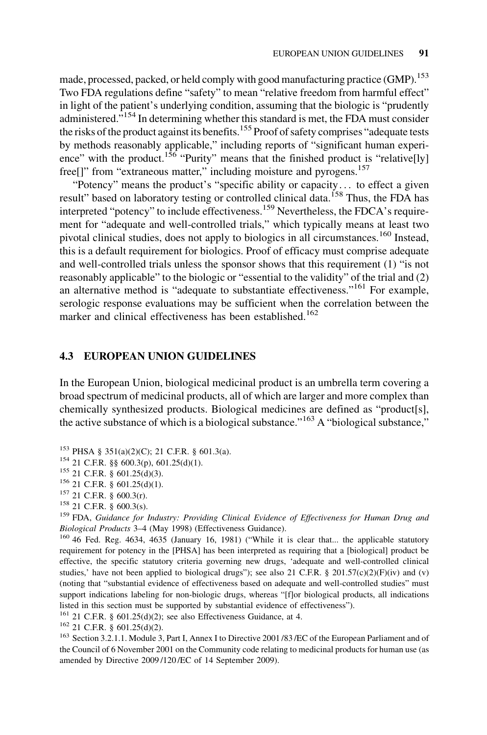made, processed, packed, or held comply with good manufacturing practice (GMP).<sup>153</sup> Two FDA regulations define "safety" to mean "relative freedom from harmful effect" in light of the patient's underlying condition, assuming that the biologic is "prudently administered."<sup>154</sup> In determining whether this standard is met, the FDA must consider the risks of the product against its benefits.<sup>155</sup> Proof of safety comprises "adequate tests" by methods reasonably applicable," including reports of "significant human experience" with the product.<sup>156</sup> "Purity" means that the finished product is "relative<sup>[1</sup>y] free<sup>[]"</sup> from "extraneous matter," including moisture and pyrogens.<sup>157</sup>

"Potency" means the product's "specific ability or capacity. . . to effect a given result" based on laboratory testing or controlled clinical data.<sup>158</sup> Thus, the FDA has interpreted "potency" to include effectiveness.<sup>159</sup> Nevertheless, the FDCA's requirement for "adequate and well-controlled trials," which typically means at least two pivotal clinical studies, does not apply to biologics in all circumstances.<sup>160</sup> Instead, this is a default requirement for biologics. Proof of efficacy must comprise adequate and well-controlled trials unless the sponsor shows that this requirement (1) "is not reasonably applicable" to the biologic or "essential to the validity" of the trial and (2) an alternative method is "adequate to substantiate effectiveness."<sup>161</sup> For example, serologic response evaluations may be sufficient when the correlation between the marker and clinical effectiveness has been established.<sup>162</sup>

## 4.3 EUROPEAN UNION GUIDELINES

In the European Union, biological medicinal product is an umbrella term covering a broad spectrum of medicinal products, all of which are larger and more complex than chemically synthesized products. Biological medicines are defined as "product[s], the active substance of which is a biological substance."<sup>163</sup> A "biological substance,"

- 
- 

<sup>153</sup> PHSA § 351(a)(2)(C); 21 C.F.R. § 601.3(a).<br><sup>154</sup> 21 C.F.R. §§ 600.3(p), 601.25(d)(1).<br><sup>155</sup> 21 C.F.R. § 601.25(d)(3).<br><sup>156</sup> 21 C.F.R. § 601.25(d)(1).<br><sup>156</sup> 21 C.F.R. § 600.3(r).<br><sup>157</sup> 21 C.F.R. § 600.3(r).<br><sup>158</sup> 21 Biological Products 3–4 (May 1998) (Effectiveness Guidance). 160 46 Fed. Reg. 4634, 4635 (January 16, 1981) ("While it is clear that... the applicable statutory

requirement for potency in the [PHSA] has been interpreted as requiring that a [biological] product be effective, the specific statutory criteria governing new drugs, 'adequate and well-controlled clinical studies,' have not been applied to biological drugs"); see also 21 C.F.R. § 201.57(c)(2)(F)(iv) and (v) (noting that "substantial evidence of effectiveness based on adequate and well-controlled studies" must support indications labeling for non-biologic drugs, whereas "[f]or biological products, all indications listed in this section must be supported by substantial evidence of effectiveness").

<sup>161</sup> 21 C.F.R. § 601.25(d)(2); see also Effectiveness Guidance, at 4.<br><sup>162</sup> 21 C.F.R. § 601.25(d)(2).<br><sup>163</sup> Section 3.2.1.1. Module 3, Part I, Annex I to Directive 2001 /83 /EC of the European Parliament and of the Council of 6 November 2001 on the Community code relating to medicinal products for human use (as amended by Directive 2009 /120 /EC of 14 September 2009).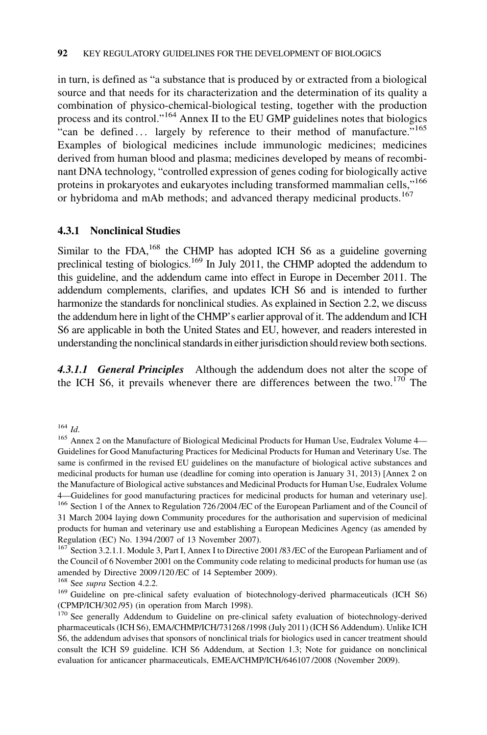in turn, is defined as "a substance that is produced by or extracted from a biological source and that needs for its characterization and the determination of its quality a combination of physico-chemical-biological testing, together with the production process and its control."<sup>164</sup> Annex II to the EU GMP guidelines notes that biologics "can be defined ... largely by reference to their method of manufacture."<sup>165</sup> Examples of biological medicines include immunologic medicines; medicines derived from human blood and plasma; medicines developed by means of recombinant DNA technology, "controlled expression of genes coding for biologically active proteins in prokaryotes and eukaryotes including transformed mammalian cells,"<sup>166</sup> or hybridoma and mAb methods; and advanced therapy medicinal products.<sup>167</sup>

## 4.3.1 Nonclinical Studies

Similar to the FDA,<sup>168</sup> the CHMP has adopted ICH S6 as a guideline governing preclinical testing of biologics.<sup>169</sup> In July 2011, the CHMP adopted the addendum to this guideline, and the addendum came into effect in Europe in December 2011. The addendum complements, clarifies, and updates ICH S6 and is intended to further harmonize the standards for nonclinical studies. As explained in Section 2.2, we discuss the addendum here in light of the CHMP's earlier approval of it. The addendum and ICH S6 are applicable in both the United States and EU, however, and readers interested in understanding the nonclinical standards in either jurisdiction should review both sections.

4.3.1.1 General Principles Although the addendum does not alter the scope of the ICH S6, it prevails whenever there are differences between the two.<sup>170</sup> The

<sup>164</sup> Id.<br><sup>165</sup> Annex 2 on the Manufacture of Biological Medicinal Products for Human Use, Eudralex Volume 4— Guidelines for Good Manufacturing Practices for Medicinal Products for Human and Veterinary Use. The same is confirmed in the revised EU guidelines on the manufacture of biological active substances and medicinal products for human use (deadline for coming into operation is January 31, 2013) [Annex 2 on the Manufacture of Biological active substances and Medicinal Products for Human Use, Eudralex Volume 4—Guidelines for good manufacturing practices for medicinal products for human and veterinary use]. <sup>166</sup> Section 1 of the Annex to Regulation 726 /2004 /EC of the European Parliament and of the Council of 31 March 2004 laying down Community procedures for the authorisation and supervision of medicinal products for human and veterinary use and establishing a European Medicines Agency (as amended by Regulation (EC) No. 1394 /2007 of 13 November 2007).

<sup>167</sup> Section 3.2.1.1. Module 3, Part I, Annex I to Directive 2001/83/EC of the European Parliament and of the Council of 6 November 2001 on the Community code relating to medicinal products for human use (as amended by Directive 2009 /120 /EC of 14 September 2009).

<sup>168</sup> See *supra* Section 4.2.2.<br><sup>169</sup> Guideline on pre-clinical safety evaluation of biotechnology-derived pharmaceuticals (ICH S6) (CPMP/ICH/302 /95) (in operation from March 1998).

<sup>170</sup> See generally Addendum to Guideline on pre-clinical safety evaluation of biotechnology-derived pharmaceuticals (ICH S6), EMA/CHMP/ICH/731268 /1998 (July 2011) (ICH S6 Addendum). Unlike ICH S6, the addendum advises that sponsors of nonclinical trials for biologics used in cancer treatment should consult the ICH S9 guideline. ICH S6 Addendum, at Section 1.3; Note for guidance on nonclinical evaluation for anticancer pharmaceuticals, EMEA/CHMP/ICH/646107 /2008 (November 2009).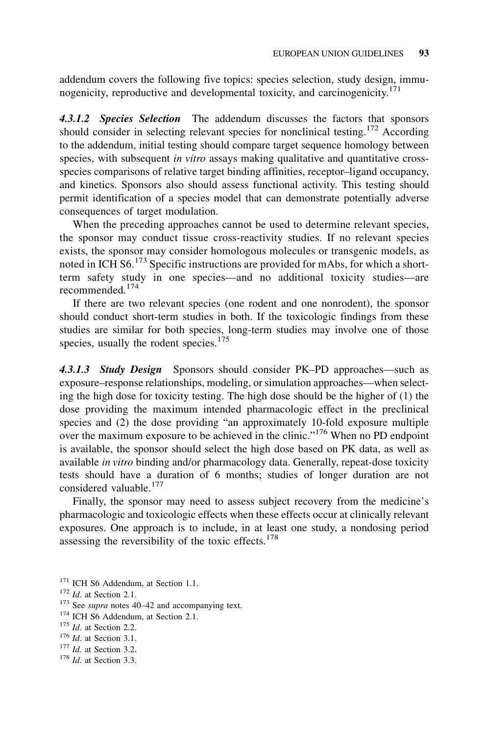addendum covers the following five topics: species selection, study design, immunogenicity, reproductive and developmental toxicity, and carcinogenicity.<sup>171</sup>

4.3.1.2 Species Selection The addendum discusses the factors that sponsors should consider in selecting relevant species for nonclinical testing.<sup>172</sup> According to the addendum, initial testing should compare target sequence homology between species, with subsequent in vitro assays making qualitative and quantitative crossspecies comparisons of relative target binding affinities, receptor–ligand occupancy, and kinetics. Sponsors also should assess functional activity. This testing should permit identification of a species model that can demonstrate potentially adverse consequences of target modulation.

When the preceding approaches cannot be used to determine relevant species, the sponsor may conduct tissue cross-reactivity studies. If no relevant species exists, the sponsor may consider homologous molecules or transgenic models, as noted in ICH  $\text{S6}$ .<sup>173</sup> Specific instructions are provided for mAbs, for which a shortterm safety study in one species—and no additional toxicity studies—are recommended.<sup>174</sup>

If there are two relevant species (one rodent and one nonrodent), the sponsor should conduct short-term studies in both. If the toxicologic findings from these studies are similar for both species, long-term studies may involve one of those species, usually the rodent species. $175$ 

4.3.1.3 Study Design Sponsors should consider PK–PD approaches—such as exposure–response relationships, modeling, or simulation approaches—when selecting the high dose for toxicity testing. The high dose should be the higher of (1) the dose providing the maximum intended pharmacologic effect in the preclinical species and (2) the dose providing "an approximately 10-fold exposure multiple over the maximum exposure to be achieved in the clinic."<sup>176</sup> When no PD endpoint is available, the sponsor should select the high dose based on PK data, as well as available in vitro binding and/or pharmacology data. Generally, repeat-dose toxicity tests should have a duration of 6 months; studies of longer duration are not considered valuable.<sup>177</sup>

Finally, the sponsor may need to assess subject recovery from the medicine's pharmacologic and toxicologic effects when these effects occur at clinically relevant exposures. One approach is to include, in at least one study, a nondosing period assessing the reversibility of the toxic effects. $178$ 

<sup>174</sup> ICH S6 Addendum, at Section 2.1.<br><sup>175</sup> *Id.* at Section 2.2.<br><sup>176</sup> *Id.* at Section 3.1.<br><sup>177</sup> *Id.* at Section 3.2.

- 
- $178$  *Id.* at Section 3.3.

<sup>&</sup>lt;sup>171</sup> ICH S6 Addendum, at Section 1.1.<br><sup>172</sup> Id. at Section 2.1. <sup>173</sup> See *supra* notes 40–42 and accompanying text.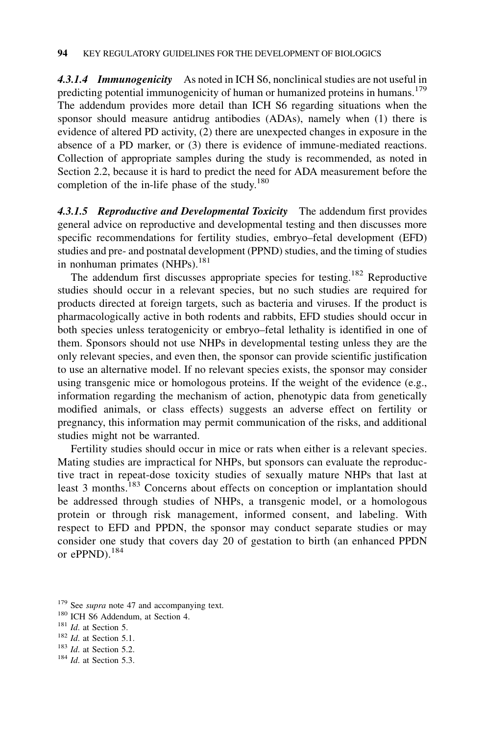4.3.1.4 Immunogenicity As noted in ICH S6, nonclinical studies are not useful in predicting potential immunogenicity of human or humanized proteins in humans.<sup>179</sup> The addendum provides more detail than ICH S6 regarding situations when the sponsor should measure antidrug antibodies (ADAs), namely when (1) there is evidence of altered PD activity, (2) there are unexpected changes in exposure in the absence of a PD marker, or (3) there is evidence of immune-mediated reactions. Collection of appropriate samples during the study is recommended, as noted in Section 2.2, because it is hard to predict the need for ADA measurement before the completion of the in-life phase of the study.<sup>180</sup>

4.3.1.5 Reproductive and Developmental Toxicity The addendum first provides general advice on reproductive and developmental testing and then discusses more specific recommendations for fertility studies, embryo–fetal development (EFD) studies and pre- and postnatal development (PPND) studies, and the timing of studies in nonhuman primates (NHPs).<sup>181</sup>

The addendum first discusses appropriate species for testing.<sup>182</sup> Reproductive studies should occur in a relevant species, but no such studies are required for products directed at foreign targets, such as bacteria and viruses. If the product is pharmacologically active in both rodents and rabbits, EFD studies should occur in both species unless teratogenicity or embryo–fetal lethality is identified in one of them. Sponsors should not use NHPs in developmental testing unless they are the only relevant species, and even then, the sponsor can provide scientific justification to use an alternative model. If no relevant species exists, the sponsor may consider using transgenic mice or homologous proteins. If the weight of the evidence (e.g., information regarding the mechanism of action, phenotypic data from genetically modified animals, or class effects) suggests an adverse effect on fertility or pregnancy, this information may permit communication of the risks, and additional studies might not be warranted.

Fertility studies should occur in mice or rats when either is a relevant species. Mating studies are impractical for NHPs, but sponsors can evaluate the reproductive tract in repeat-dose toxicity studies of sexually mature NHPs that last at least 3 months.<sup>183</sup> Concerns about effects on conception or implantation should be addressed through studies of NHPs, a transgenic model, or a homologous protein or through risk management, informed consent, and labeling. With respect to EFD and PPDN, the sponsor may conduct separate studies or may consider one study that covers day 20 of gestation to birth (an enhanced PPDN or ePPND).<sup>184</sup>

<sup>&</sup>lt;sup>179</sup> See *supra* note 47 and accompanying text.

<sup>&</sup>lt;sup>180</sup> ICH S6 Addendum, at Section 4.<br><sup>181</sup> *Id.* at Section 5.<br><sup>182</sup> *Id.* at Section 5.1.<br><sup>183</sup> *Id.* at Section 5.2.

 $184$  Id. at Section 5.3.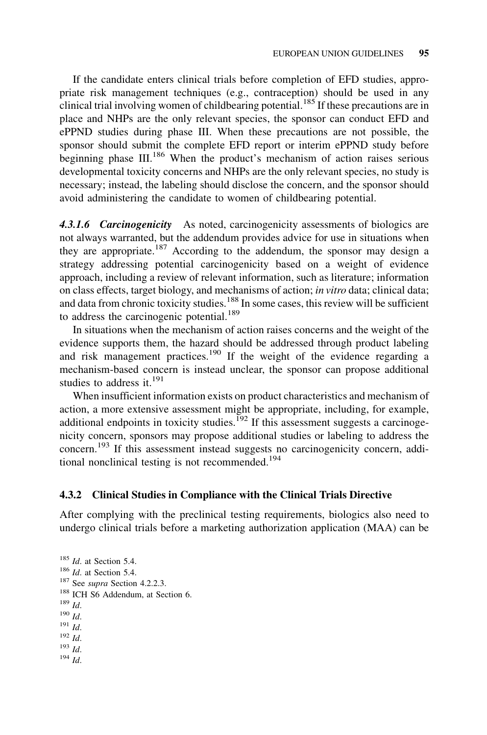If the candidate enters clinical trials before completion of EFD studies, appropriate risk management techniques (e.g., contraception) should be used in any clinical trial involving women of childbearing potential.<sup>185</sup> If these precautions are in place and NHPs are the only relevant species, the sponsor can conduct EFD and ePPND studies during phase III. When these precautions are not possible, the sponsor should submit the complete EFD report or interim ePPND study before beginning phase  $III^{186}$  When the product's mechanism of action raises serious developmental toxicity concerns and NHPs are the only relevant species, no study is necessary; instead, the labeling should disclose the concern, and the sponsor should avoid administering the candidate to women of childbearing potential.

4.3.1.6 Carcinogenicity As noted, carcinogenicity assessments of biologics are not always warranted, but the addendum provides advice for use in situations when they are appropriate.<sup>187</sup> According to the addendum, the sponsor may design a strategy addressing potential carcinogenicity based on a weight of evidence approach, including a review of relevant information, such as literature; information on class effects, target biology, and mechanisms of action; in vitro data; clinical data; and data from chronic toxicity studies.<sup>188</sup> In some cases, this review will be sufficient to address the carcinogenic potential.<sup>189</sup>

In situations when the mechanism of action raises concerns and the weight of the evidence supports them, the hazard should be addressed through product labeling and risk management practices.<sup>190</sup> If the weight of the evidence regarding a mechanism-based concern is instead unclear, the sponsor can propose additional studies to address it. $^{191}$ 

When insufficient information exists on product characteristics and mechanism of action, a more extensive assessment might be appropriate, including, for example, additional endpoints in toxicity studies.<sup>192</sup> If this assessment suggests a carcinogenicity concern, sponsors may propose additional studies or labeling to address the concern.<sup>193</sup> If this assessment instead suggests no carcinogenicity concern, additional nonclinical testing is not recommended.<sup>194</sup>

## 4.3.2 Clinical Studies in Compliance with the Clinical Trials Directive

After complying with the preclinical testing requirements, biologics also need to undergo clinical trials before a marketing authorization application (MAA) can be

```
185 Id. at Section 5.4.<br>186 Id. at Section 5.4.
<sup>187</sup> See supra Section 4.2.2.3.<br><sup>188</sup> ICH S6 Addendum, at Section 6. <sup>189</sup> Id.<br><sup>190</sup> Id.
\frac{191}{192} Id. \frac{192}{193} Id.
194 Id.
```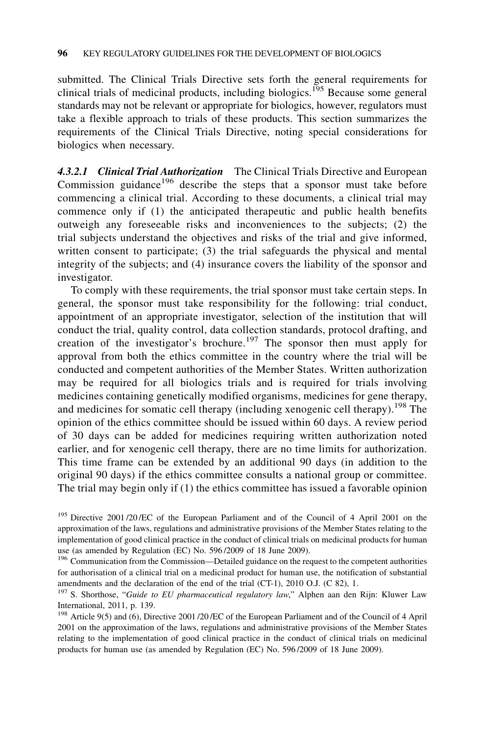submitted. The Clinical Trials Directive sets forth the general requirements for clinical trials of medicinal products, including biologics.<sup>195</sup> Because some general standards may not be relevant or appropriate for biologics, however, regulators must take a flexible approach to trials of these products. This section summarizes the requirements of the Clinical Trials Directive, noting special considerations for biologics when necessary.

4.3.2.1 Clinical Trial Authorization The Clinical Trials Directive and European Commission guidance $196$  describe the steps that a sponsor must take before commencing a clinical trial. According to these documents, a clinical trial may commence only if (1) the anticipated therapeutic and public health benefits outweigh any foreseeable risks and inconveniences to the subjects; (2) the trial subjects understand the objectives and risks of the trial and give informed, written consent to participate; (3) the trial safeguards the physical and mental integrity of the subjects; and (4) insurance covers the liability of the sponsor and investigator.

To comply with these requirements, the trial sponsor must take certain steps. In general, the sponsor must take responsibility for the following: trial conduct, appointment of an appropriate investigator, selection of the institution that will conduct the trial, quality control, data collection standards, protocol drafting, and creation of the investigator's brochure.<sup>197</sup> The sponsor then must apply for approval from both the ethics committee in the country where the trial will be conducted and competent authorities of the Member States. Written authorization may be required for all biologics trials and is required for trials involving medicines containing genetically modified organisms, medicines for gene therapy, and medicines for somatic cell therapy (including xenogenic cell therapy).<sup>198</sup> The opinion of the ethics committee should be issued within 60 days. A review period of 30 days can be added for medicines requiring written authorization noted earlier, and for xenogenic cell therapy, there are no time limits for authorization. This time frame can be extended by an additional 90 days (in addition to the original 90 days) if the ethics committee consults a national group or committee. The trial may begin only if (1) the ethics committee has issued a favorable opinion

<sup>&</sup>lt;sup>195</sup> Directive 2001/20/EC of the European Parliament and of the Council of 4 April 2001 on the approximation of the laws, regulations and administrative provisions of the Member States relating to the implementation of good clinical practice in the conduct of clinical trials on medicinal products for human use (as amended by Regulation (EC) No. 596 /2009 of 18 June 2009).

<sup>&</sup>lt;sup>196</sup> Communication from the Commission—Detailed guidance on the request to the competent authorities for authorisation of a clinical trial on a medicinal product for human use, the notification of substantial amendments and the declaration of the end of the trial (CT-1), 2010 O.J. (C 82), 1.

<sup>&</sup>lt;sup>197</sup> S. Shorthose, "Guide to EU pharmaceutical regulatory law," Alphen aan den Rijn: Kluwer Law International, 2011, p. 139.

<sup>&</sup>lt;sup>198</sup> Article 9(5) and (6), Directive 2001 /20 /EC of the European Parliament and of the Council of 4 April 2001 on the approximation of the laws, regulations and administrative provisions of the Member States relating to the implementation of good clinical practice in the conduct of clinical trials on medicinal products for human use (as amended by Regulation (EC) No. 596 /2009 of 18 June 2009).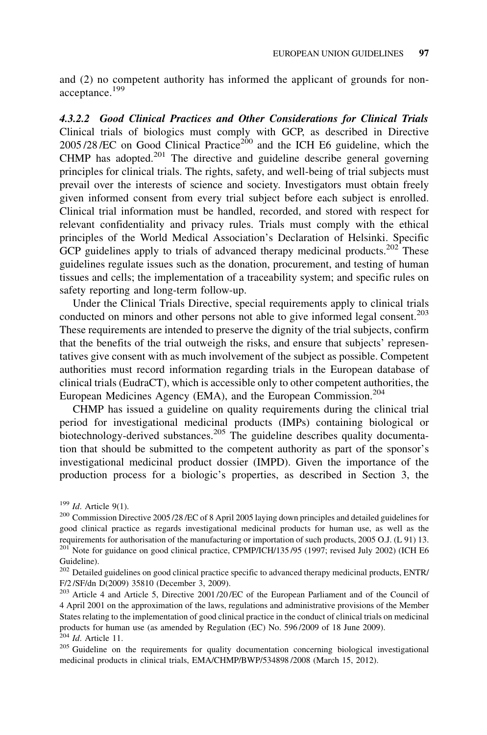and (2) no competent authority has informed the applicant of grounds for nonacceptance.<sup>199</sup>

4.3.2.2 Good Clinical Practices and Other Considerations for Clinical Trials Clinical trials of biologics must comply with GCP, as described in Directive  $2005/28$ /EC on Good Clinical Practice<sup>200</sup> and the ICH E6 guideline, which the CHMP has adopted.<sup>201</sup> The directive and guideline describe general governing principles for clinical trials. The rights, safety, and well-being of trial subjects must prevail over the interests of science and society. Investigators must obtain freely given informed consent from every trial subject before each subject is enrolled. Clinical trial information must be handled, recorded, and stored with respect for relevant confidentiality and privacy rules. Trials must comply with the ethical principles of the World Medical Association's Declaration of Helsinki. Specific GCP guidelines apply to trials of advanced therapy medicinal products.<sup>202</sup> These guidelines regulate issues such as the donation, procurement, and testing of human tissues and cells; the implementation of a traceability system; and specific rules on safety reporting and long-term follow-up.

Under the Clinical Trials Directive, special requirements apply to clinical trials conducted on minors and other persons not able to give informed legal consent.<sup>203</sup> These requirements are intended to preserve the dignity of the trial subjects, confirm that the benefits of the trial outweigh the risks, and ensure that subjects' representatives give consent with as much involvement of the subject as possible. Competent authorities must record information regarding trials in the European database of clinical trials (EudraCT), which is accessible only to other competent authorities, the European Medicines Agency (EMA), and the European Commission.<sup>204</sup>

CHMP has issued a guideline on quality requirements during the clinical trial period for investigational medicinal products (IMPs) containing biological or biotechnology-derived substances.<sup>205</sup> The guideline describes quality documentation that should be submitted to the competent authority as part of the sponsor's investigational medicinal product dossier (IMPD). Given the importance of the production process for a biologic's properties, as described in Section 3, the

<sup>&</sup>lt;sup>199</sup> Id. Article 9(1).<br><sup>200</sup> Commission Directive 2005 /28 /EC of 8 April 2005 laying down principles and detailed guidelines for good clinical practice as regards investigational medicinal products for human use, as well as the requirements for authorisation of the manufacturing or importation of such products, 2005 O.J. (L 91) 13.  $^{201}$  Note for guidance on good clinical practice, CPMP/ICH/135/95 (1997; revised July 2002) (ICH E6 Guideline).

<sup>&</sup>lt;sup>202</sup> Detailed guidelines on good clinical practice specific to advanced therapy medicinal products, ENTR/ F/2 /SF/dn D(2009) 35810 (December 3, 2009).

<sup>203</sup> Article 4 and Article 5, Directive 2001 /20 /EC of the European Parliament and of the Council of 4 April 2001 on the approximation of the laws, regulations and administrative provisions of the Member States relating to the implementation of good clinical practice in the conduct of clinical trials on medicinal products for human use (as amended by Regulation (EC) No. 596/2009 of 18 June 2009).<br><sup>204</sup> Id. Article 11.

<sup>&</sup>lt;sup>205</sup> Guideline on the requirements for quality documentation concerning biological investigational medicinal products in clinical trials, EMA/CHMP/BWP/534898 /2008 (March 15, 2012).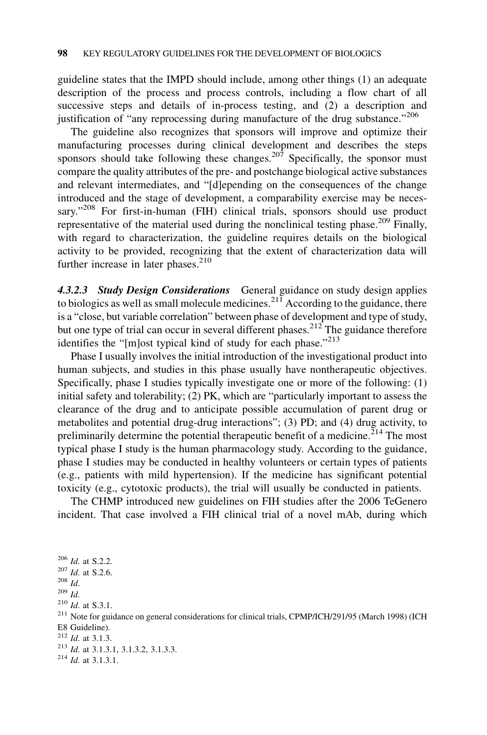guideline states that the IMPD should include, among other things (1) an adequate description of the process and process controls, including a flow chart of all successive steps and details of in-process testing, and (2) a description and justification of "any reprocessing during manufacture of the drug substance."<sup>206</sup>

The guideline also recognizes that sponsors will improve and optimize their manufacturing processes during clinical development and describes the steps sponsors should take following these changes.<sup>207</sup> Specifically, the sponsor must compare the quality attributes of the pre- and postchange biological active substances and relevant intermediates, and "[d]epending on the consequences of the change introduced and the stage of development, a comparability exercise may be necessary."<sup>208</sup> For first-in-human (FIH) clinical trials, sponsors should use product representative of the material used during the nonclinical testing phase.<sup>209</sup> Finally, with regard to characterization, the guideline requires details on the biological activity to be provided, recognizing that the extent of characterization data will further increase in later phases. $210$ 

4.3.2.3 Study Design Considerations General guidance on study design applies to biologics as well as small molecule medicines.<sup>211</sup> According to the guidance, there is a "close, but variable correlation" between phase of development and type of study, but one type of trial can occur in several different phases.<sup>212</sup> The guidance therefore identifies the "[m]ost typical kind of study for each phase."<sup>213</sup>

Phase I usually involves the initial introduction of the investigational product into human subjects, and studies in this phase usually have nontherapeutic objectives. Specifically, phase I studies typically investigate one or more of the following: (1) initial safety and tolerability; (2) PK, which are "particularly important to assess the clearance of the drug and to anticipate possible accumulation of parent drug or metabolites and potential drug-drug interactions"; (3) PD; and (4) drug activity, to preliminarily determine the potential therapeutic benefit of a medicine.<sup> $214$ </sup> The most typical phase I study is the human pharmacology study. According to the guidance, phase I studies may be conducted in healthy volunteers or certain types of patients (e.g., patients with mild hypertension). If the medicine has significant potential toxicity (e.g., cytotoxic products), the trial will usually be conducted in patients.

The CHMP introduced new guidelines on FIH studies after the 2006 TeGenero incident. That case involved a FIH clinical trial of a novel mAb, during which

 $^{206}$  *Id.* at S.2.2.<br> $^{207}$  *Id.* at S.2.6.  $\frac{^{208}}{^{209}}$  *Id.*<br> $\frac{^{210}}{1d}$ . at S.3.1. <sup>211</sup> Note for guidance on general considerations for clinical trials, CPMP/ICH/291/95 (March 1998) (ICH E8 Guideline).  $^{212}$  *Id.* at 3.1.3. <sup>213</sup> Id. at 3.1.3.1, 3.1.3.2, 3.1.3.3.<br><sup>214</sup> Id. at 3.1.3.1.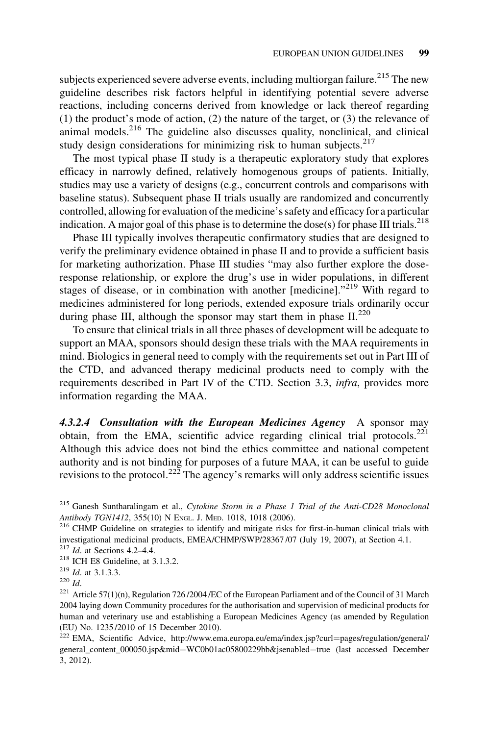subjects experienced severe adverse events, including multiorgan failure.<sup>215</sup> The new guideline describes risk factors helpful in identifying potential severe adverse reactions, including concerns derived from knowledge or lack thereof regarding (1) the product's mode of action, (2) the nature of the target, or (3) the relevance of animal models. $216$  The guideline also discusses quality, nonclinical, and clinical study design considerations for minimizing risk to human subjects.<sup>217</sup>

The most typical phase II study is a therapeutic exploratory study that explores efficacy in narrowly defined, relatively homogenous groups of patients. Initially, studies may use a variety of designs (e.g., concurrent controls and comparisons with baseline status). Subsequent phase II trials usually are randomized and concurrently controlled, allowing for evaluation of the medicine's safety and efficacy for a particular indication. A major goal of this phase is to determine the dose(s) for phase III trials.<sup>218</sup>

Phase III typically involves therapeutic confirmatory studies that are designed to verify the preliminary evidence obtained in phase II and to provide a sufficient basis for marketing authorization. Phase III studies "may also further explore the doseresponse relationship, or explore the drug's use in wider populations, in different stages of disease, or in combination with another  $[$ medicine].<sup>"219</sup> With regard to medicines administered for long periods, extended exposure trials ordinarily occur during phase III, although the sponsor may start them in phase  $II^{220}$ 

To ensure that clinical trials in all three phases of development will be adequate to support an MAA, sponsors should design these trials with the MAA requirements in mind. Biologics in general need to comply with the requirements set out in Part III of the CTD, and advanced therapy medicinal products need to comply with the requirements described in Part IV of the CTD. Section 3.3, *infra*, provides more information regarding the MAA.

4.3.2.4 Consultation with the European Medicines Agency A sponsor may obtain, from the EMA, scientific advice regarding clinical trial protocols.<sup>221</sup> Although this advice does not bind the ethics committee and national competent authority and is not binding for purposes of a future MAA, it can be useful to guide revisions to the protocol.<sup>222</sup> The agency's remarks will only address scientific issues

<sup>216</sup> CHMP Guideline on strategies to identify and mitigate risks for first-in-human clinical trials with investigational medicinal products, EMEA/CHMP/SWP/28367 /07 (July 19, 2007), at Section 4.1.

<sup>&</sup>lt;sup>215</sup> Ganesh Suntharalingam et al., Cytokine Storm in a Phase 1 Trial of the Anti-CD28 Monoclonal Antibody TGN1412, 355(10) N ENGL. J. MED. 1018, 1018 (2006).

<sup>&</sup>lt;sup>217</sup> *Id.* at Sections 4.2–4.4.<br><sup>218</sup> ICH E8 Guideline, at 3.1.3.2.<br><sup>219</sup> *Id.* at 3.1.3.3.

<sup>&</sup>lt;sup>220</sup> Id.<br><sup>221</sup> Article 57(1)(n), Regulation 726/2004 /EC of the European Parliament and of the Council of 31 March 2004 laying down Community procedures for the authorisation and supervision of medicinal products for human and veterinary use and establishing a European Medicines Agency (as amended by Regulation (EU) No. 1235 /2010 of 15 December 2010).

<sup>&</sup>lt;sup>222</sup> EMA, Scientific Advice, http://www.ema.europa.eu/ema/index.jsp?curl=pages/regulation/general/ general\_content\_000050.jsp&mid=WC0b01ac05800229bb&jsenabled=true (last accessed December 3, 2012).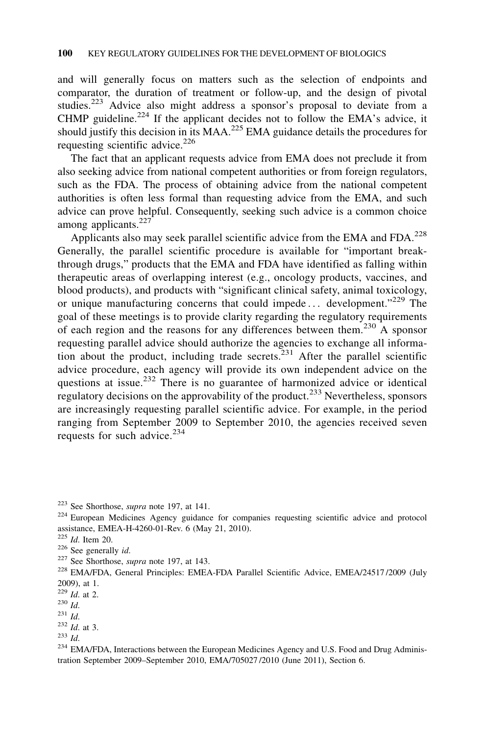and will generally focus on matters such as the selection of endpoints and comparator, the duration of treatment or follow-up, and the design of pivotal studies.<sup>223</sup> Advice also might address a sponsor's proposal to deviate from a CHMP guideline.<sup>224</sup> If the applicant decides not to follow the EMA's advice, it should justify this decision in its  $MAA<sup>225</sup> EMA$  guidance details the procedures for requesting scientific advice. $^{226}$ 

The fact that an applicant requests advice from EMA does not preclude it from also seeking advice from national competent authorities or from foreign regulators, such as the FDA. The process of obtaining advice from the national competent authorities is often less formal than requesting advice from the EMA, and such advice can prove helpful. Consequently, seeking such advice is a common choice among applicants. $227$ 

Applicants also may seek parallel scientific advice from the EMA and FDA.<sup>228</sup> Generally, the parallel scientific procedure is available for "important breakthrough drugs," products that the EMA and FDA have identified as falling within therapeutic areas of overlapping interest (e.g., oncology products, vaccines, and blood products), and products with "significant clinical safety, animal toxicology, or unique manufacturing concerns that could impede... development."<sup>229</sup> The goal of these meetings is to provide clarity regarding the regulatory requirements of each region and the reasons for any differences between them.<sup>230</sup> A sponsor requesting parallel advice should authorize the agencies to exchange all information about the product, including trade secrets. $^{231}$  After the parallel scientific advice procedure, each agency will provide its own independent advice on the questions at issue.<sup>232</sup> There is no guarantee of harmonized advice or identical regulatory decisions on the approvability of the product.<sup>233</sup> Nevertheless, sponsors are increasingly requesting parallel scientific advice. For example, in the period ranging from September 2009 to September 2010, the agencies received seven requests for such advice. $234$ 

<sup>&</sup>lt;sup>223</sup> See Shorthose, *supra* note 197, at 141.<br><sup>224</sup> European Medicines Agency guidance for companies requesting scientific advice and protocol assistance, EMEA-H-4260-01-Rev. 6 (May 21, 2010).<br><sup>225</sup> Id. Item 20.

<sup>&</sup>lt;sup>226</sup> See generally *id.* <sup>227</sup> See Shorthose, *supra* note 197, at 143.

<sup>&</sup>lt;sup>228</sup> EMA/FDA, General Principles: EMEA-FDA Parallel Scientific Advice, EMEA/24517/2009 (July 2009), at 1.

 $\frac{229}{230}$  *Id.* at 2.<br>  $\frac{230}{231}$  *Id.* 

 $^{232}_{233}$  *Id.* at 3.  $^{233}_{1d.}$ 

<sup>&</sup>lt;sup>234</sup> EMA/FDA, Interactions between the European Medicines Agency and U.S. Food and Drug Administration September 2009–September 2010, EMA/705027 /2010 (June 2011), Section 6.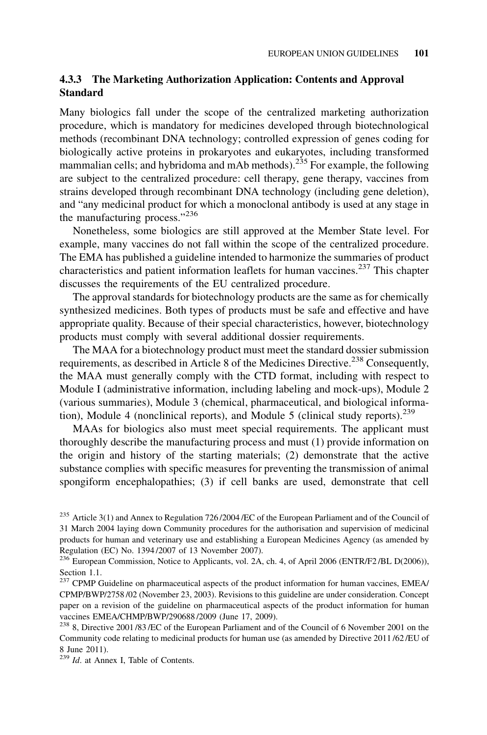## 4.3.3 The Marketing Authorization Application: Contents and Approval Standard

Many biologics fall under the scope of the centralized marketing authorization procedure, which is mandatory for medicines developed through biotechnological methods (recombinant DNA technology; controlled expression of genes coding for biologically active proteins in prokaryotes and eukaryotes, including transformed mammalian cells; and hybridoma and mAb methods).<sup>235</sup> For example, the following are subject to the centralized procedure: cell therapy, gene therapy, vaccines from strains developed through recombinant DNA technology (including gene deletion), and "any medicinal product for which a monoclonal antibody is used at any stage in the manufacturing process."<sup>236</sup>

Nonetheless, some biologics are still approved at the Member State level. For example, many vaccines do not fall within the scope of the centralized procedure. The EMA has published a guideline intended to harmonize the summaries of product characteristics and patient information leaflets for human vaccines.<sup>237</sup> This chapter discusses the requirements of the EU centralized procedure.

The approval standards for biotechnology products are the same as for chemically synthesized medicines. Both types of products must be safe and effective and have appropriate quality. Because of their special characteristics, however, biotechnology products must comply with several additional dossier requirements.

The MAA for a biotechnology product must meet the standard dossier submission requirements, as described in Article 8 of the Medicines Directive.<sup>238</sup> Consequently, the MAA must generally comply with the CTD format, including with respect to Module I (administrative information, including labeling and mock-ups), Module 2 (various summaries), Module 3 (chemical, pharmaceutical, and biological information), Module 4 (nonclinical reports), and Module 5 (clinical study reports).<sup>239</sup>

MAAs for biologics also must meet special requirements. The applicant must thoroughly describe the manufacturing process and must (1) provide information on the origin and history of the starting materials; (2) demonstrate that the active substance complies with specific measures for preventing the transmission of animal spongiform encephalopathies; (3) if cell banks are used, demonstrate that cell

<sup>&</sup>lt;sup>235</sup> Article 3(1) and Annex to Regulation 726/2004/EC of the European Parliament and of the Council of 31 March 2004 laying down Community procedures for the authorisation and supervision of medicinal products for human and veterinary use and establishing a European Medicines Agency (as amended by Regulation (EC) No. 1394 /2007 of 13 November 2007).

<sup>&</sup>lt;sup>236</sup> European Commission, Notice to Applicants, vol. 2A, ch. 4, of April 2006 (ENTR/F2/BL D(2006)), Section 1.1.

<sup>&</sup>lt;sup>237</sup> CPMP Guideline on pharmaceutical aspects of the product information for human vaccines, EMEA/ CPMP/BWP/2758 /02 (November 23, 2003). Revisions to this guideline are under consideration. Concept paper on a revision of the guideline on pharmaceutical aspects of the product information for human vaccines EMEA/CHMP/BWP/290688 /2009 (June 17, 2009).

<sup>238</sup> 8, Directive 2001 /83 /EC of the European Parliament and of the Council of 6 November 2001 on the Community code relating to medicinal products for human use (as amended by Directive 2011 /62 /EU of 8 June 2011).

<sup>239</sup> Id. at Annex I, Table of Contents.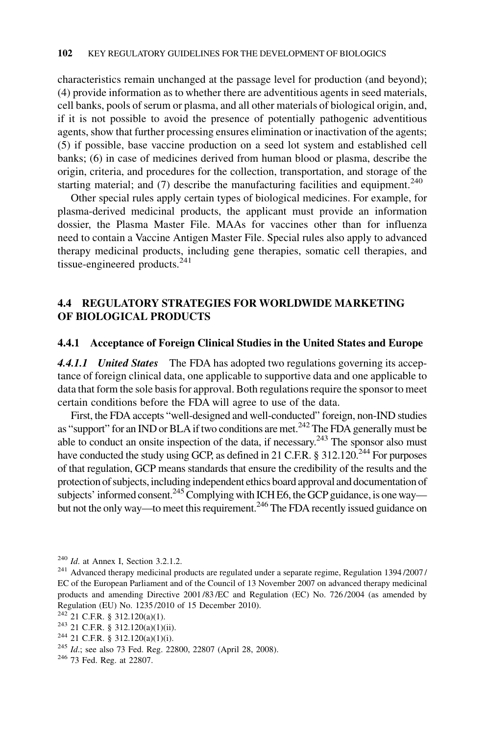characteristics remain unchanged at the passage level for production (and beyond); (4) provide information as to whether there are adventitious agents in seed materials, cell banks, pools of serum or plasma, and all other materials of biological origin, and, if it is not possible to avoid the presence of potentially pathogenic adventitious agents, show that further processing ensures elimination or inactivation of the agents; (5) if possible, base vaccine production on a seed lot system and established cell banks; (6) in case of medicines derived from human blood or plasma, describe the origin, criteria, and procedures for the collection, transportation, and storage of the starting material; and  $(7)$  describe the manufacturing facilities and equipment.<sup>240</sup>

Other special rules apply certain types of biological medicines. For example, for plasma-derived medicinal products, the applicant must provide an information dossier, the Plasma Master File. MAAs for vaccines other than for influenza need to contain a Vaccine Antigen Master File. Special rules also apply to advanced therapy medicinal products, including gene therapies, somatic cell therapies, and tissue-engineered products. $^{241}$ 

## 4.4 REGULATORY STRATEGIES FOR WORLDWIDE MARKETING OF BIOLOGICAL PRODUCTS

#### 4.4.1 Acceptance of Foreign Clinical Studies in the United States and Europe

4.4.1.1 United States The FDA has adopted two regulations governing its acceptance of foreign clinical data, one applicable to supportive data and one applicable to data that form the sole basis for approval. Both regulations require the sponsor to meet certain conditions before the FDA will agree to use of the data.

First, the FDA accepts "well-designed and well-conducted" foreign, non-IND studies as "support" for an IND or BLA if two conditions are met.<sup>242</sup> The FDA generally must be able to conduct an onsite inspection of the data, if necessary.<sup>243</sup> The sponsor also must have conducted the study using GCP, as defined in 21 C.F.R. § 312.120.<sup>244</sup> For purposes of that regulation, GCP means standards that ensure the credibility of the results and the protection of subjects, including independent ethics board approval and documentation of subjects' informed consent.<sup>245</sup> Complying with ICH E6, the GCP guidance, is one way but not the only way—to meet this requirement.<sup>246</sup> The FDA recently issued guidance on

 $240$  *Id.* at Annex I, Section 3.2.1.2.

<sup>&</sup>lt;sup>241</sup> Advanced therapy medicinal products are regulated under a separate regime, Regulation 1394/2007/ EC of the European Parliament and of the Council of 13 November 2007 on advanced therapy medicinal products and amending Directive 2001 /83 /EC and Regulation (EC) No. 726 /2004 (as amended by Regulation (EU) No. 1235/2010 of 15 December 2010).<br><sup>242</sup> 21 C.F.R. § 312.120(a)(1).

<sup>&</sup>lt;sup>243</sup> 21 C.F.R. § 312.120(a)(1)(ii). <sup>244</sup> 21 C.F.R. § 312.120(a)(1)(i).

<sup>&</sup>lt;sup>245</sup> *Id.*; see also 73 Fed. Reg. 22800, 22807 (April 28, 2008). <sup>246</sup> 73 Fed. Reg. at 22807.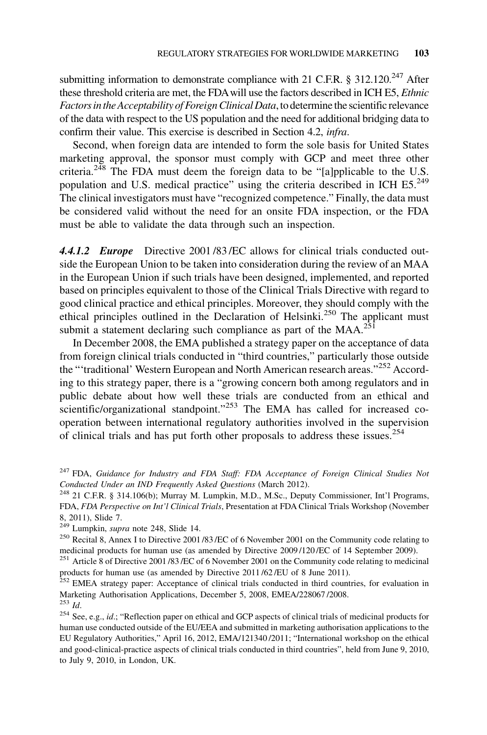submitting information to demonstrate compliance with 21 C.F.R. § 312.120.<sup>247</sup> After these threshold criteria are met, the FDAwill use the factors described in ICH E5, Ethnic Factors in the Acceptability of Foreign Clinical Data, to determine the scientific relevance of the data with respect to the US population and the need for additional bridging data to confirm their value. This exercise is described in Section 4.2, infra.

Second, when foreign data are intended to form the sole basis for United States marketing approval, the sponsor must comply with GCP and meet three other criteria.<sup>248</sup> The FDA must deem the foreign data to be "[a]pplicable to the U.S. population and U.S. medical practice" using the criteria described in ICH  $E5.^{249}$ The clinical investigators must have "recognized competence." Finally, the data must be considered valid without the need for an onsite FDA inspection, or the FDA must be able to validate the data through such an inspection.

4.4.1.2 Europe Directive 2001 /83 /EC allows for clinical trials conducted outside the European Union to be taken into consideration during the review of an MAA in the European Union if such trials have been designed, implemented, and reported based on principles equivalent to those of the Clinical Trials Directive with regard to good clinical practice and ethical principles. Moreover, they should comply with the ethical principles outlined in the Declaration of Helsinki.<sup>250</sup> The applicant must submit a statement declaring such compliance as part of the  $MAA$ .<sup>251</sup>

In December 2008, the EMA published a strategy paper on the acceptance of data from foreign clinical trials conducted in "third countries," particularly those outside the "'traditional' Western European and North American research areas."<sup>252</sup> According to this strategy paper, there is a "growing concern both among regulators and in public debate about how well these trials are conducted from an ethical and scientific/organizational standpoint."<sup>253</sup> The EMA has called for increased cooperation between international regulatory authorities involved in the supervision of clinical trials and has put forth other proposals to address these issues.<sup>254</sup>

<sup>&</sup>lt;sup>247</sup> FDA, Guidance for Industry and FDA Staff: FDA Acceptance of Foreign Clinical Studies Not Conducted Under an IND Frequently Asked Questions (March 2012).<br><sup>248</sup> 21 C.F.R. § 314.106(b); Murray M. Lumpkin, M.D., M.Sc., Deputy Commissioner, Int'l Programs,

FDA, FDA Perspective on Int'l Clinical Trials, Presentation at FDA Clinical Trials Workshop (November 8, 2011), Slide 7.<br><sup>249</sup> Lumpkin, *supra* note 248, Slide 14.

<sup>&</sup>lt;sup>250</sup> Recital 8, Annex I to Directive 2001/83/EC of 6 November 2001 on the Community code relating to medicinal products for human use (as amended by Directive 2009 /120 /EC of 14 September 2009).

<sup>&</sup>lt;sup>251</sup> Article 8 of Directive 2001/83/EC of 6 November 2001 on the Community code relating to medicinal products for human use (as amended by Directive 2011 /62 /EU of 8 June 2011).

<sup>&</sup>lt;sup>252</sup> EMEA strategy paper: Acceptance of clinical trials conducted in third countries, for evaluation in Marketing Authorisation Applications, December 5, 2008, EMEA/228067 /2008.  $^{253}$  *Id.* 

<sup>&</sup>lt;sup>254</sup> See, e.g., *id.*; "Reflection paper on ethical and GCP aspects of clinical trials of medicinal products for human use conducted outside of the EU/EEA and submitted in marketing authorisation applications to the EU Regulatory Authorities," April 16, 2012, EMA/121340 /2011; "International workshop on the ethical and good-clinical-practice aspects of clinical trials conducted in third countries", held from June 9, 2010, to July 9, 2010, in London, UK.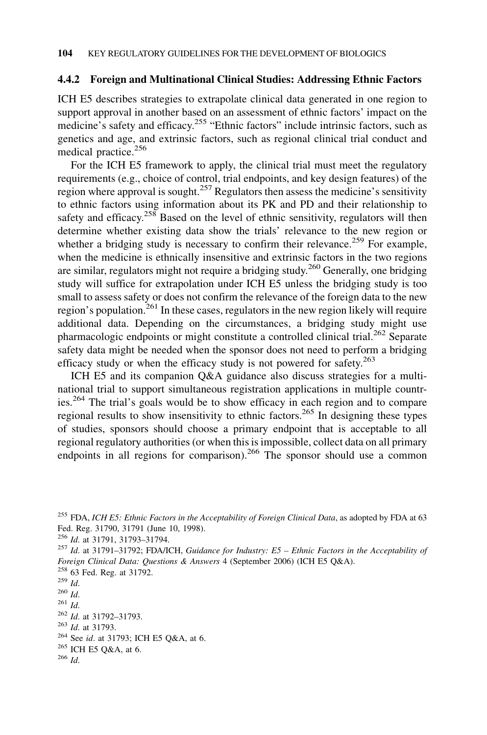#### 4.4.2 Foreign and Multinational Clinical Studies: Addressing Ethnic Factors

ICH E5 describes strategies to extrapolate clinical data generated in one region to support approval in another based on an assessment of ethnic factors' impact on the medicine's safety and efficacy.<sup>255</sup> "Ethnic factors" include intrinsic factors, such as genetics and age, and extrinsic factors, such as regional clinical trial conduct and medical practice.<sup>256</sup>

For the ICH E5 framework to apply, the clinical trial must meet the regulatory requirements (e.g., choice of control, trial endpoints, and key design features) of the region where approval is sought.<sup>257</sup> Regulators then assess the medicine's sensitivity to ethnic factors using information about its PK and PD and their relationship to safety and efficacy.<sup>258</sup> Based on the level of ethnic sensitivity, regulators will then determine whether existing data show the trials' relevance to the new region or whether a bridging study is necessary to confirm their relevance.<sup>259</sup> For example, when the medicine is ethnically insensitive and extrinsic factors in the two regions are similar, regulators might not require a bridging study.<sup>260</sup> Generally, one bridging study will suffice for extrapolation under ICH E5 unless the bridging study is too small to assess safety or does not confirm the relevance of the foreign data to the new region's population.<sup>261</sup> In these cases, regulators in the new region likely will require additional data. Depending on the circumstances, a bridging study might use pharmacologic endpoints or might constitute a controlled clinical trial.<sup>262</sup> Separate safety data might be needed when the sponsor does not need to perform a bridging efficacy study or when the efficacy study is not powered for safety. $263$ 

ICH E5 and its companion Q&A guidance also discuss strategies for a multinational trial to support simultaneous registration applications in multiple countries.<sup>264</sup> The trial's goals would be to show efficacy in each region and to compare regional results to show insensitivity to ethnic factors.<sup>265</sup> In designing these types of studies, sponsors should choose a primary endpoint that is acceptable to all regional regulatory authorities (or when this is impossible, collect data on all primary endpoints in all regions for comparison).<sup>266</sup> The sponsor should use a common

 $^{255}$  FDA, ICH E5: Ethnic Factors in the Acceptability of Foreign Clinical Data, as adopted by FDA at 63 Fed. Reg. 31790, 31791 (June 10, 1998).<br><sup>256</sup> Id. at 31791, 31793-31794.

 $257$  Id. at 31791-31792; FDA/ICH, Guidance for Industry: E5 - Ethnic Factors in the Acceptability of Foreign Clinical Data: Questions & Answers 4 (September 2006) (ICH E5 Q&A).

<sup>&</sup>lt;sup>258</sup> 63 Fed. Reg. at 31792.<br><sup>259</sup> Id.<br><sup>260</sup> Id.<br><sup>261</sup> Id. at 31792–31793.

<sup>&</sup>lt;sup>263</sup> Id. at 31793.<br><sup>264</sup> See id. at 31793; ICH E5 Q&A, at 6.

 $^{265}$  ICH E5 Q&A, at 6.<br><sup>266</sup> Id.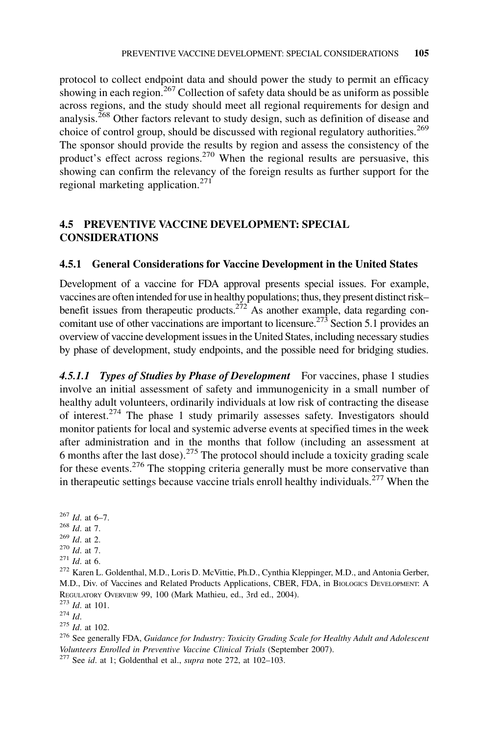protocol to collect endpoint data and should power the study to permit an efficacy showing in each region.<sup>267</sup> Collection of safety data should be as uniform as possible across regions, and the study should meet all regional requirements for design and analysis.<sup>268</sup> Other factors relevant to study design, such as definition of disease and choice of control group, should be discussed with regional regulatory authorities.<sup>269</sup> The sponsor should provide the results by region and assess the consistency of the product's effect across regions.<sup>270</sup> When the regional results are persuasive, this showing can confirm the relevancy of the foreign results as further support for the regional marketing application.<sup>271</sup>

## 4.5 PREVENTIVE VACCINE DEVELOPMENT: SPECIAL CONSIDERATIONS

## 4.5.1 General Considerations for Vaccine Development in the United States

Development of a vaccine for FDA approval presents special issues. For example, vaccines are often intended for use in healthy populations; thus, they present distinct risk– benefit issues from therapeutic products.<sup>272</sup> As another example, data regarding concomitant use of other vaccinations are important to licensure.<sup>273</sup> Section 5.1 provides an overview of vaccine development issues in the United States, including necessary studies by phase of development, study endpoints, and the possible need for bridging studies.

4.5.1.1 Types of Studies by Phase of Development For vaccines, phase 1 studies involve an initial assessment of safety and immunogenicity in a small number of healthy adult volunteers, ordinarily individuals at low risk of contracting the disease of interest.<sup>274</sup> The phase 1 study primarily assesses safety. Investigators should monitor patients for local and systemic adverse events at specified times in the week after administration and in the months that follow (including an assessment at 6 months after the last dose).<sup>275</sup> The protocol should include a toxicity grading scale for these events.<sup>276</sup> The stopping criteria generally must be more conservative than in therapeutic settings because vaccine trials enroll healthy individuals.<sup>277</sup> When the

 $^{267}$  *Id.* at 6–7.<br><sup>268</sup> *Id.* at 7.

 $\frac{^{269}}{^{270}}$  *Id.* at 7.<br><sup>270</sup> *Id.* at 6.

<sup>272</sup> Karen L. Goldenthal, M.D., Loris D. McVittie, Ph.D., Cynthia Kleppinger, M.D., and Antonia Gerber, M.D., Div. of Vaccines and Related Products Applications, CBER, FDA, in BIOLOGICS DEVELOPMENT: A REGULATORY OVERVIEW 99, 100 (Mark Mathieu, ed., 3rd ed., 2004).<br>
<sup>273</sup> Id. at 101.<br>
<sup>274</sup> Id

<sup>275</sup> Id. at 102.<br><sup>276</sup> See generally FDA, *Guidance for Industry: Toxicity Grading Scale for Healthy Adult and Adolescent* Volunteers Enrolled in Preventive Vaccine Clinical Trials (September 2007). <sup>277</sup> See id. at 1; Goldenthal et al., *supra* note 272, at 102–103.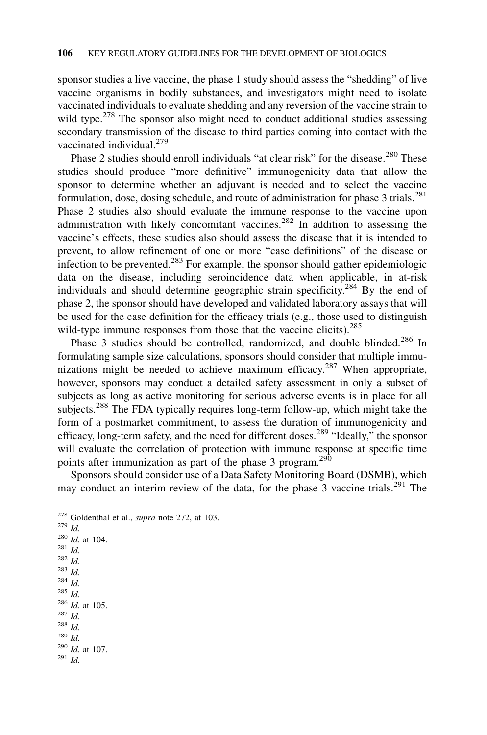sponsor studies a live vaccine, the phase 1 study should assess the "shedding" of live vaccine organisms in bodily substances, and investigators might need to isolate vaccinated individuals to evaluate shedding and any reversion of the vaccine strain to wild type.<sup>278</sup> The sponsor also might need to conduct additional studies assessing secondary transmission of the disease to third parties coming into contact with the vaccinated individual.<sup>279</sup>

Phase 2 studies should enroll individuals "at clear risk" for the disease.<sup>280</sup> These studies should produce "more definitive" immunogenicity data that allow the sponsor to determine whether an adjuvant is needed and to select the vaccine formulation, dose, dosing schedule, and route of administration for phase 3 trials.<sup>281</sup> Phase 2 studies also should evaluate the immune response to the vaccine upon administration with likely concomitant vaccines.<sup>282</sup> In addition to assessing the vaccine's effects, these studies also should assess the disease that it is intended to prevent, to allow refinement of one or more "case definitions" of the disease or infection to be prevented.<sup>283</sup> For example, the sponsor should gather epidemiologic data on the disease, including seroincidence data when applicable, in at-risk individuals and should determine geographic strain specificity.<sup>284</sup> By the end of phase 2, the sponsor should have developed and validated laboratory assays that will be used for the case definition for the efficacy trials (e.g., those used to distinguish wild-type immune responses from those that the vaccine elicits).<sup>285</sup>

Phase 3 studies should be controlled, randomized, and double blinded.<sup>286</sup> In formulating sample size calculations, sponsors should consider that multiple immunizations might be needed to achieve maximum efficacy.<sup>287</sup> When appropriate, however, sponsors may conduct a detailed safety assessment in only a subset of subjects as long as active monitoring for serious adverse events is in place for all subjects.<sup>288</sup> The FDA typically requires long-term follow-up, which might take the form of a postmarket commitment, to assess the duration of immunogenicity and efficacy, long-term safety, and the need for different doses.<sup>289</sup> "Ideally," the sponsor will evaluate the correlation of protection with immune response at specific time points after immunization as part of the phase 3 program.<sup>290</sup>

Sponsors should consider use of a Data Safety Monitoring Board (DSMB), which may conduct an interim review of the data, for the phase  $3$  vaccine trials.<sup>291</sup> The

```
<sup>278</sup> Goldenthal et al., supra note 272, at 103.<br><sup>279</sup> 
\frac{^{280} \text{ } Id. \text{ at } 104. \ 281 \text{ } Id. \ 282 \text{ } Id. \ 283 \text{ } Id.\frac{284 \text{ } Id.}{285 \text{ } Id.}<br>
\frac{286 \text{ } Id.}{1 \text{ } at 105.}<br>
\frac{287 \text{ } Id.}\frac{^{288}}{^{289}} Id.
^{290} Id. at 107.<br><sup>291</sup> Id.
```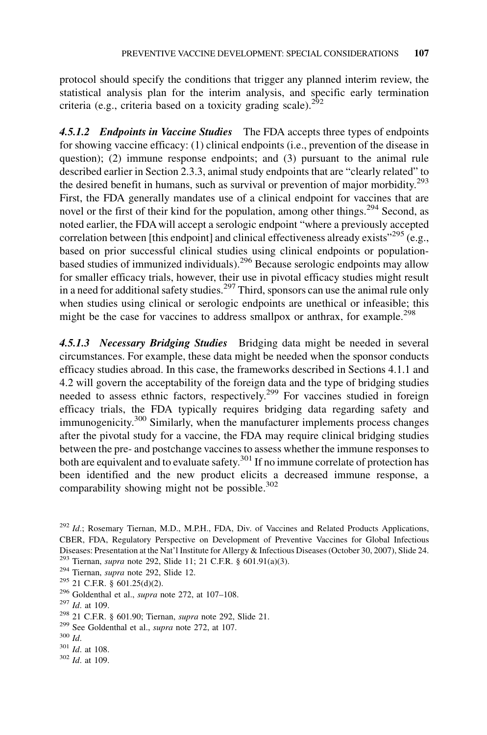protocol should specify the conditions that trigger any planned interim review, the statistical analysis plan for the interim analysis, and specific early termination criteria (e.g., criteria based on a toxicity grading scale). $292$ 

4.5.1.2 Endpoints in Vaccine Studies The FDA accepts three types of endpoints for showing vaccine efficacy: (1) clinical endpoints (i.e., prevention of the disease in question); (2) immune response endpoints; and (3) pursuant to the animal rule described earlier in Section 2.3.3, animal study endpoints that are "clearly related" to the desired benefit in humans, such as survival or prevention of major morbidity.<sup>293</sup> First, the FDA generally mandates use of a clinical endpoint for vaccines that are novel or the first of their kind for the population, among other things.<sup>294</sup> Second, as noted earlier, the FDA will accept a serologic endpoint "where a previously accepted correlation between [this endpoint] and clinical effectiveness already exists<sup> $295$ </sup> (e.g., based on prior successful clinical studies using clinical endpoints or populationbased studies of immunized individuals).296 Because serologic endpoints may allow for smaller efficacy trials, however, their use in pivotal efficacy studies might result in a need for additional safety studies.<sup>297</sup> Third, sponsors can use the animal rule only when studies using clinical or serologic endpoints are unethical or infeasible; this might be the case for vaccines to address smallpox or anthrax, for example.<sup>298</sup>

4.5.1.3 Necessary Bridging Studies Bridging data might be needed in several circumstances. For example, these data might be needed when the sponsor conducts efficacy studies abroad. In this case, the frameworks described in Sections 4.1.1 and 4.2 will govern the acceptability of the foreign data and the type of bridging studies needed to assess ethnic factors, respectively.<sup>299</sup> For vaccines studied in foreign efficacy trials, the FDA typically requires bridging data regarding safety and immunogenicity.<sup>300</sup> Similarly, when the manufacturer implements process changes after the pivotal study for a vaccine, the FDA may require clinical bridging studies between the pre- and postchange vaccines to assess whether the immune responses to both are equivalent and to evaluate safety.<sup>301</sup> If no immune correlate of protection has been identified and the new product elicits a decreased immune response, a comparability showing might not be possible.<sup>302</sup>

 $302$  *Id.* at 109.

 $^{292}$  Id.; Rosemary Tiernan, M.D., M.P.H., FDA, Div. of Vaccines and Related Products Applications, CBER, FDA, Regulatory Perspective on Development of Preventive Vaccines for Global Infectious Diseases: Presentation at the Nat'l Institute for Allergy & Infectious Diseases (October 30, 2007), Slide 24. <sup>293</sup> Tiernan, *supra* note 292, Slide 11; 21 C.F.R. § 601.91(a)(3). <sup>294</sup> Tiernan, *supra* note 292, Slide 12.

<sup>&</sup>lt;sup>295</sup> 21 C.F.R. § 601.25(d)(2).<br><sup>296</sup> Goldenthal et al., *supra* note 272, at 107–108.<br><sup>297</sup> Id. at 109.

<sup>&</sup>lt;sup>298</sup> 21 C.F.R. § 601.90; Tiernan, *supra* note 292, Slide 21.<br><sup>299</sup> See Goldenthal et al., *supra* note 272, at 107.<br><sup>300</sup> Id. <sup>301</sup> Id. at 108.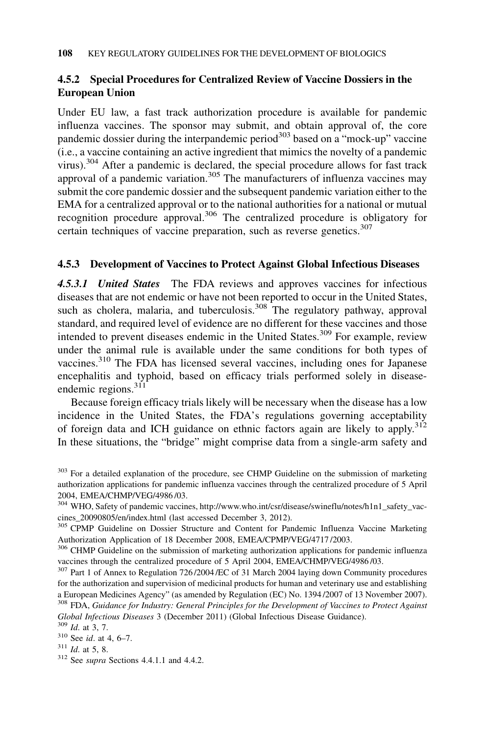## 4.5.2 Special Procedures for Centralized Review of Vaccine Dossiers in the European Union

Under EU law, a fast track authorization procedure is available for pandemic influenza vaccines. The sponsor may submit, and obtain approval of, the core pandemic dossier during the interpandemic period<sup>303</sup> based on a "mock-up" vaccine (i.e., a vaccine containing an active ingredient that mimics the novelty of a pandemic virus).<sup>304</sup> After a pandemic is declared, the special procedure allows for fast track approval of a pandemic variation.<sup>305</sup> The manufacturers of influenza vaccines may submit the core pandemic dossier and the subsequent pandemic variation either to the EMA for a centralized approval or to the national authorities for a national or mutual recognition procedure approval.<sup>306</sup> The centralized procedure is obligatory for certain techniques of vaccine preparation, such as reverse genetics. $307$ 

## 4.5.3 Development of Vaccines to Protect Against Global Infectious Diseases

4.5.3.1 United States The FDA reviews and approves vaccines for infectious diseases that are not endemic or have not been reported to occur in the United States, such as cholera, malaria, and tuberculosis.<sup>308</sup> The regulatory pathway, approval standard, and required level of evidence are no different for these vaccines and those intended to prevent diseases endemic in the United States.<sup>309</sup> For example, review under the animal rule is available under the same conditions for both types of vaccines.<sup>310</sup> The FDA has licensed several vaccines, including ones for Japanese encephalitis and typhoid, based on efficacy trials performed solely in diseaseendemic regions.<sup>311</sup>

Because foreign efficacy trials likely will be necessary when the disease has a low incidence in the United States, the FDA's regulations governing acceptability of foreign data and ICH guidance on ethnic factors again are likely to apply.<sup>312</sup> In these situations, the "bridge" might comprise data from a single-arm safety and

<sup>&</sup>lt;sup>303</sup> For a detailed explanation of the procedure, see CHMP Guideline on the submission of marketing authorization applications for pandemic influenza vaccines through the centralized procedure of 5 April 2004, EMEA/CHMP/VEG/4986 /03.

<sup>&</sup>lt;sup>304</sup> WHO, Safety of pandemic vaccines, http://www.who.int/csr/disease/swineflu/notes/h1n1\_safety\_vaccines\_20090805/en/index.html (last accessed December 3, 2012).

<sup>&</sup>lt;sup>305</sup> CPMP Guideline on Dossier Structure and Content for Pandemic Influenza Vaccine Marketing Authorization Application of 18 December 2008, EMEA/CPMP/VEG/4717 /2003.

<sup>&</sup>lt;sup>306</sup> CHMP Guideline on the submission of marketing authorization applications for pandemic influenza vaccines through the centralized procedure of 5 April 2004, EMEA/CHMP/VEG/4986 /03.

<sup>&</sup>lt;sup>307</sup> Part 1 of Annex to Regulation 726/2004/EC of 31 March 2004 laying down Community procedures for the authorization and supervision of medicinal products for human and veterinary use and establishing a European Medicines Agency" (as amended by Regulation (EC) No. 1394 /2007 of 13 November 2007).

 $308$  FDA, Guidance for Industry: General Principles for the Development of Vaccines to Protect Against Global Infectious Diseases 3 (December 2011) (Global Infectious Disease Guidance).<br><sup>309</sup> Id. at 3, 7.<br><sup>310</sup> See id. at 4, 6–7.<br><sup>311</sup> Id. at 5, 8.

 $312$  See supra Sections 4.4.1.1 and 4.4.2.